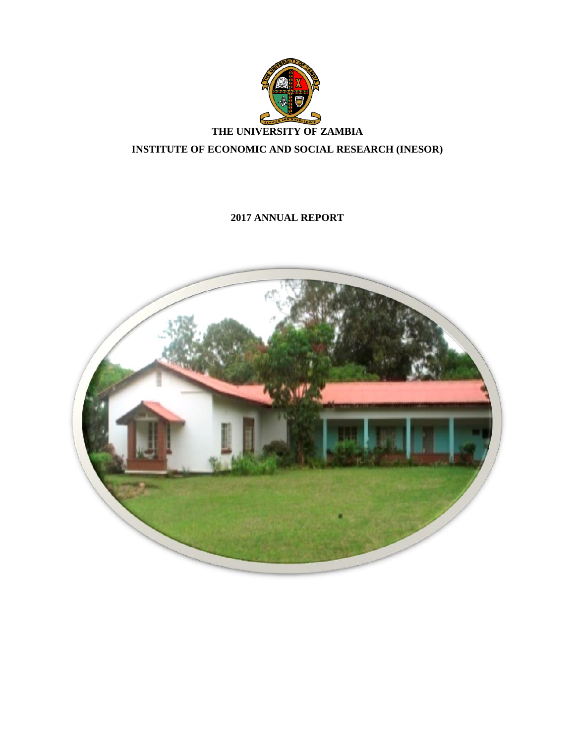

# **2017 ANNUAL REPORT**

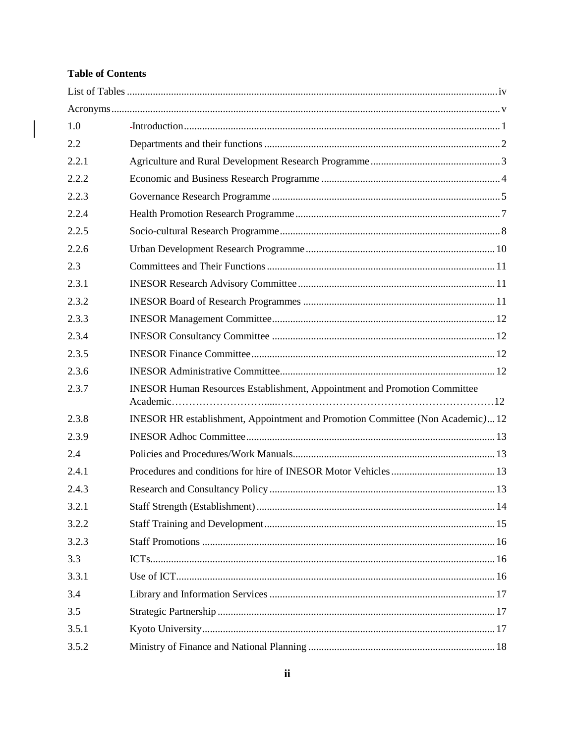# **Table of Contents**

 $\begin{array}{|c|c|} \hline \hline \end{array}$ 

| 1.0   |                                                                                  |
|-------|----------------------------------------------------------------------------------|
| 2.2   |                                                                                  |
| 2.2.1 |                                                                                  |
| 2.2.2 |                                                                                  |
| 2.2.3 |                                                                                  |
| 2.2.4 |                                                                                  |
| 2.2.5 |                                                                                  |
| 2.2.6 |                                                                                  |
| 2.3   |                                                                                  |
| 2.3.1 |                                                                                  |
| 2.3.2 |                                                                                  |
| 2.3.3 |                                                                                  |
| 2.3.4 |                                                                                  |
| 2.3.5 |                                                                                  |
| 2.3.6 |                                                                                  |
| 2.3.7 | <b>INESOR Human Resources Establishment, Appointment and Promotion Committee</b> |
| 2.3.8 | INESOR HR establishment, Appointment and Promotion Committee (Non Academic)12    |
| 2.3.9 |                                                                                  |
| 2.4   |                                                                                  |
| 2.4.1 |                                                                                  |
| 2.4.3 |                                                                                  |
| 3.2.1 |                                                                                  |
| 3.2.2 |                                                                                  |
| 3.2.3 |                                                                                  |
| 3.3   |                                                                                  |
| 3.3.1 |                                                                                  |
| 3.4   |                                                                                  |
| 3.5   |                                                                                  |
| 3.5.1 |                                                                                  |
| 3.5.2 |                                                                                  |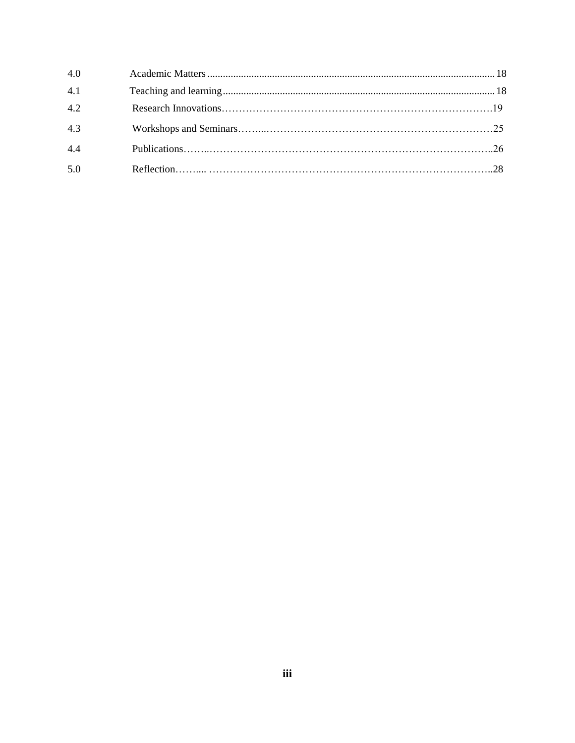| 4.0 |  |
|-----|--|
| 4.1 |  |
| 4.2 |  |
| 4.3 |  |
| 4.4 |  |
| 5.0 |  |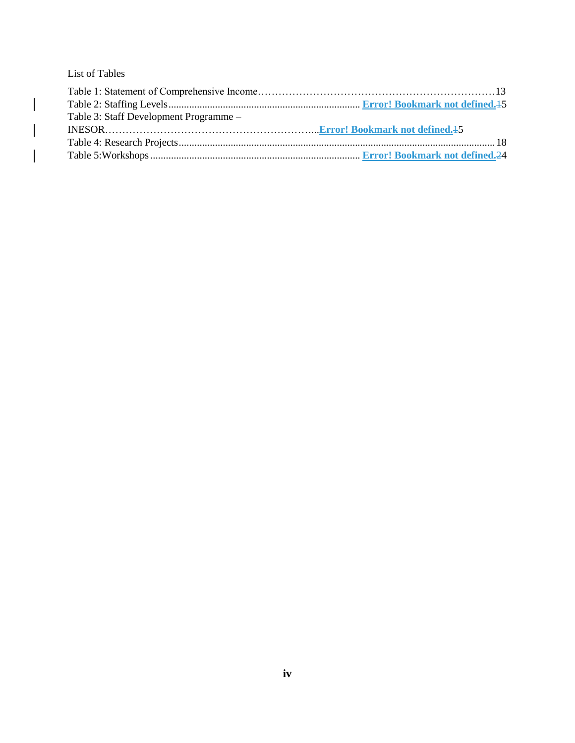<span id="page-3-0"></span>List of Tables

 $\Big|$ 

 $\mathcal{L}$ 

 $\begin{array}{c} \hline \end{array}$ 

| Table 3: Staff Development Programme – |  |
|----------------------------------------|--|
|                                        |  |
|                                        |  |
|                                        |  |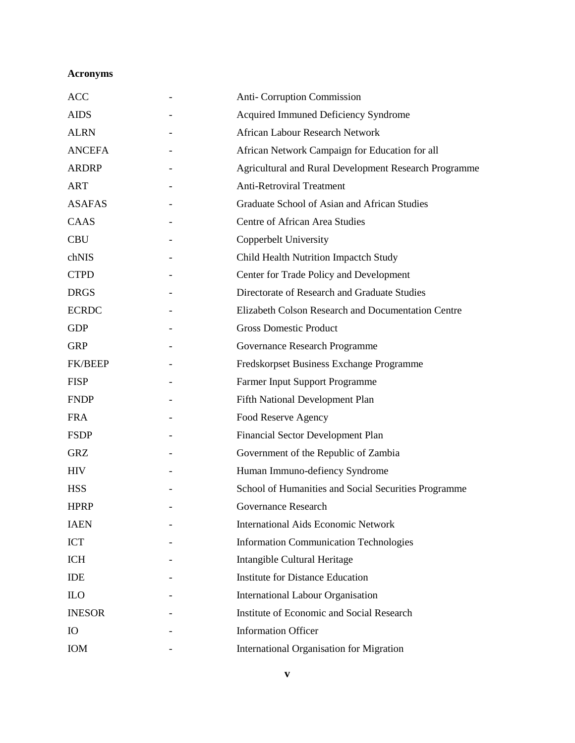# <span id="page-4-0"></span>**Acronyms**

| <b>ACC</b>     | <b>Anti-Corruption Commission</b>                     |
|----------------|-------------------------------------------------------|
| <b>AIDS</b>    | Acquired Immuned Deficiency Syndrome                  |
| <b>ALRN</b>    | <b>African Labour Research Network</b>                |
| <b>ANCEFA</b>  | African Network Campaign for Education for all        |
| <b>ARDRP</b>   | Agricultural and Rural Development Research Programme |
| <b>ART</b>     | <b>Anti-Retroviral Treatment</b>                      |
| <b>ASAFAS</b>  | Graduate School of Asian and African Studies          |
| CAAS           | Centre of African Area Studies                        |
| <b>CBU</b>     | Copperbelt University                                 |
| chNIS          | Child Health Nutrition Impactch Study                 |
| <b>CTPD</b>    | Center for Trade Policy and Development               |
| <b>DRGS</b>    | Directorate of Research and Graduate Studies          |
| <b>ECRDC</b>   | Elizabeth Colson Research and Documentation Centre    |
| <b>GDP</b>     | <b>Gross Domestic Product</b>                         |
| <b>GRP</b>     | Governance Research Programme                         |
| <b>FK/BEEP</b> | Fredskorpset Business Exchange Programme              |
| <b>FISP</b>    | Farmer Input Support Programme                        |
| <b>FNDP</b>    | Fifth National Development Plan                       |
| <b>FRA</b>     | Food Reserve Agency                                   |
| <b>FSDP</b>    | Financial Sector Development Plan                     |
| GRZ            | Government of the Republic of Zambia                  |
| <b>HIV</b>     | Human Immuno-defiency Syndrome                        |
| <b>HSS</b>     | School of Humanities and Social Securities Programme  |
| <b>HPRP</b>    | Governance Research                                   |
| <b>IAEN</b>    | <b>International Aids Economic Network</b>            |
| <b>ICT</b>     | <b>Information Communication Technologies</b>         |
| <b>ICH</b>     | Intangible Cultural Heritage                          |
| <b>IDE</b>     | <b>Institute for Distance Education</b>               |
| <b>ILO</b>     | International Labour Organisation                     |
| <b>INESOR</b>  | Institute of Economic and Social Research             |
| <b>IO</b>      | <b>Information Officer</b>                            |
| IOM            | International Organisation for Migration              |
|                |                                                       |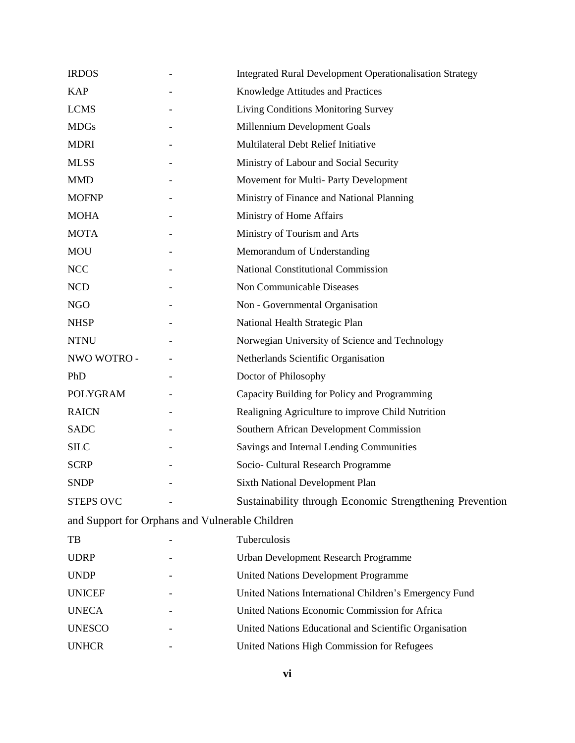| <b>IRDOS</b>                                    | <b>Integrated Rural Development Operationalisation Strategy</b> |
|-------------------------------------------------|-----------------------------------------------------------------|
| <b>KAP</b>                                      | Knowledge Attitudes and Practices                               |
| <b>LCMS</b>                                     | Living Conditions Monitoring Survey                             |
| <b>MDGs</b>                                     | Millennium Development Goals                                    |
| <b>MDRI</b>                                     | Multilateral Debt Relief Initiative                             |
| <b>MLSS</b>                                     | Ministry of Labour and Social Security                          |
| <b>MMD</b>                                      | Movement for Multi-Party Development                            |
| <b>MOFNP</b>                                    | Ministry of Finance and National Planning                       |
| <b>MOHA</b>                                     | Ministry of Home Affairs                                        |
| <b>MOTA</b>                                     | Ministry of Tourism and Arts                                    |
| <b>MOU</b>                                      | Memorandum of Understanding                                     |
| <b>NCC</b>                                      | <b>National Constitutional Commission</b>                       |
| $\rm NCD$                                       | Non Communicable Diseases                                       |
| <b>NGO</b>                                      | Non - Governmental Organisation                                 |
| <b>NHSP</b>                                     | National Health Strategic Plan                                  |
| <b>NTNU</b>                                     | Norwegian University of Science and Technology                  |
| NWO WOTRO -                                     | Netherlands Scientific Organisation                             |
| PhD                                             | Doctor of Philosophy                                            |
| <b>POLYGRAM</b>                                 | Capacity Building for Policy and Programming                    |
| <b>RAICN</b>                                    | Realigning Agriculture to improve Child Nutrition               |
| <b>SADC</b>                                     | Southern African Development Commission                         |
| <b>SILC</b>                                     | Savings and Internal Lending Communities                        |
| <b>SCRP</b>                                     | Socio- Cultural Research Programme                              |
| <b>SNDP</b>                                     | Sixth National Development Plan                                 |
| <b>STEPS OVC</b>                                | Sustainability through Economic Strengthening Prevention        |
| and Support for Orphans and Vulnerable Children |                                                                 |
| TB                                              | Tuberculosis                                                    |
| <b>UDRP</b>                                     | Urban Development Research Programme                            |
| <b>UNDP</b>                                     | <b>United Nations Development Programme</b>                     |
| <b>UNICEF</b>                                   | United Nations International Children's Emergency Fund          |
| <b>UNECA</b>                                    | United Nations Economic Commission for Africa                   |
| <b>UNESCO</b>                                   | United Nations Educational and Scientific Organisation          |
| <b>UNHCR</b>                                    | United Nations High Commission for Refugees                     |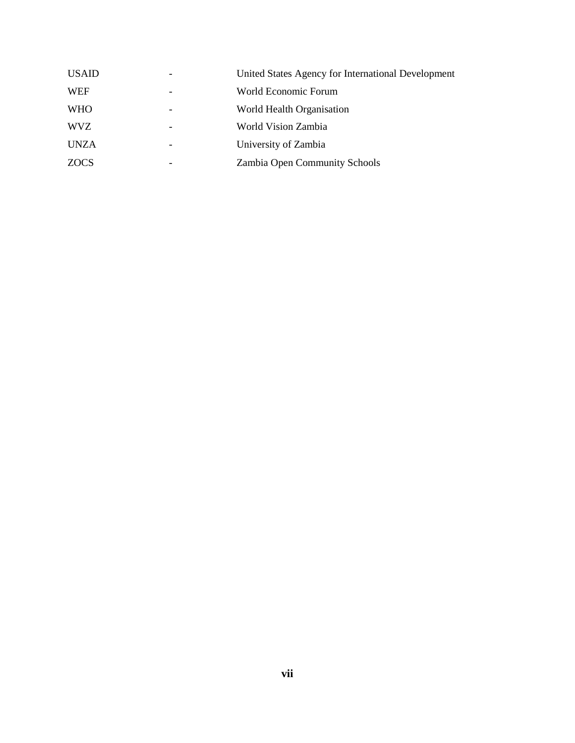| <b>USAID</b> |   | United States Agency for International Development |
|--------------|---|----------------------------------------------------|
| <b>WEF</b>   |   | World Economic Forum                               |
| <b>WHO</b>   |   | World Health Organisation                          |
| <b>WVZ</b>   | - | World Vision Zambia                                |
| <b>UNZA</b>  |   | University of Zambia                               |
| <b>ZOCS</b>  |   | Zambia Open Community Schools                      |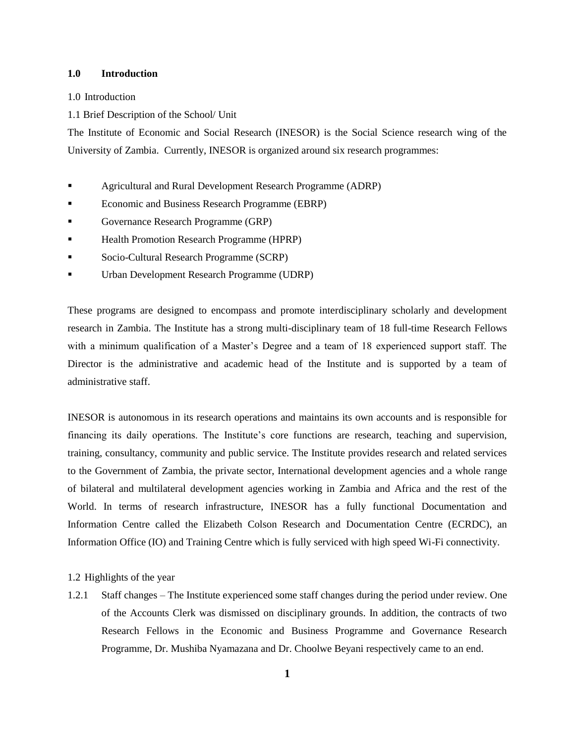### <span id="page-7-0"></span>**1.0 Introduction**

#### 1.0 Introduction

1.1 Brief Description of the School/ Unit

The Institute of Economic and Social Research (INESOR) is the Social Science research wing of the University of Zambia. Currently, INESOR is organized around six research programmes:

- Agricultural and Rural Development Research Programme (ADRP)
- Economic and Business Research Programme (EBRP)
- Governance Research Programme (GRP)
- Health Promotion Research Programme (HPRP)
- Socio-Cultural Research Programme (SCRP)
- Urban Development Research Programme (UDRP)

These programs are designed to encompass and promote interdisciplinary scholarly and development research in Zambia. The Institute has a strong multi-disciplinary team of 18 full-time Research Fellows with a minimum qualification of a Master's Degree and a team of 18 experienced support staff. The Director is the administrative and academic head of the Institute and is supported by a team of administrative staff.

INESOR is autonomous in its research operations and maintains its own accounts and is responsible for financing its daily operations. The Institute's core functions are research, teaching and supervision, training, consultancy, community and public service. The Institute provides research and related services to the Government of Zambia, the private sector, International development agencies and a whole range of bilateral and multilateral development agencies working in Zambia and Africa and the rest of the World. In terms of research infrastructure, INESOR has a fully functional Documentation and Information Centre called the Elizabeth Colson Research and Documentation Centre (ECRDC), an Information Office (IO) and Training Centre which is fully serviced with high speed Wi-Fi connectivity.

#### 1.2 Highlights of the year

1.2.1 Staff changes – The Institute experienced some staff changes during the period under review. One of the Accounts Clerk was dismissed on disciplinary grounds. In addition, the contracts of two Research Fellows in the Economic and Business Programme and Governance Research Programme, Dr. Mushiba Nyamazana and Dr. Choolwe Beyani respectively came to an end.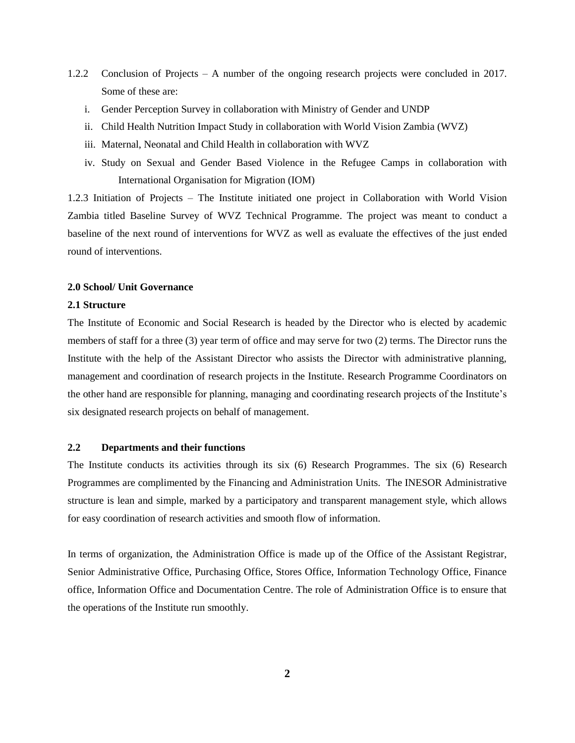- 1.2.2 Conclusion of Projects A number of the ongoing research projects were concluded in 2017. Some of these are:
	- i. Gender Perception Survey in collaboration with Ministry of Gender and UNDP
	- ii. Child Health Nutrition Impact Study in collaboration with World Vision Zambia (WVZ)
	- iii. Maternal, Neonatal and Child Health in collaboration with WVZ
	- iv. Study on Sexual and Gender Based Violence in the Refugee Camps in collaboration with International Organisation for Migration (IOM)

1.2.3 Initiation of Projects – The Institute initiated one project in Collaboration with World Vision Zambia titled Baseline Survey of WVZ Technical Programme. The project was meant to conduct a baseline of the next round of interventions for WVZ as well as evaluate the effectives of the just ended round of interventions.

#### **2.0 School/ Unit Governance**

#### **2.1 Structure**

The Institute of Economic and Social Research is headed by the Director who is elected by academic members of staff for a three (3) year term of office and may serve for two (2) terms. The Director runs the Institute with the help of the Assistant Director who assists the Director with administrative planning, management and coordination of research projects in the Institute. Research Programme Coordinators on the other hand are responsible for planning, managing and coordinating research projects of the Institute's six designated research projects on behalf of management.

#### <span id="page-8-0"></span>**2.2 Departments and their functions**

The Institute conducts its activities through its six (6) Research Programmes. The six (6) Research Programmes are complimented by the Financing and Administration Units. The INESOR Administrative structure is lean and simple, marked by a participatory and transparent management style, which allows for easy coordination of research activities and smooth flow of information.

In terms of organization, the Administration Office is made up of the Office of the Assistant Registrar, Senior Administrative Office, Purchasing Office, Stores Office, Information Technology Office, Finance office, Information Office and Documentation Centre. The role of Administration Office is to ensure that the operations of the Institute run smoothly.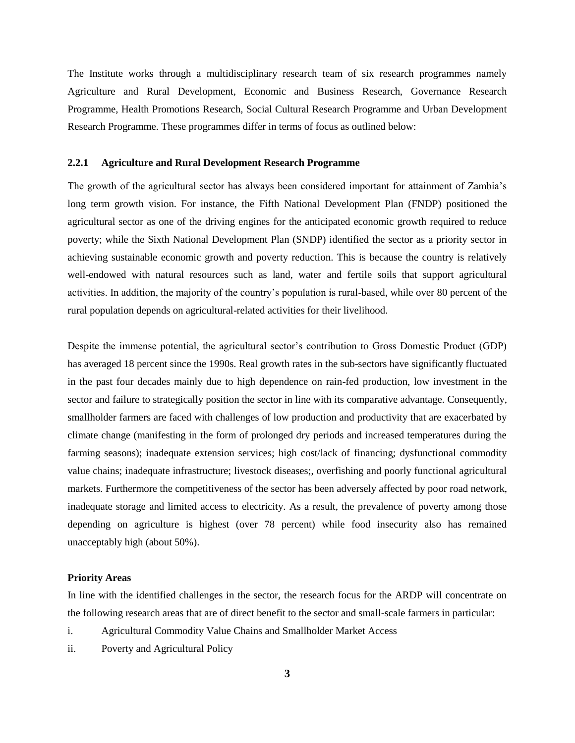The Institute works through a multidisciplinary research team of six research programmes namely Agriculture and Rural Development, Economic and Business Research, Governance Research Programme, Health Promotions Research, Social Cultural Research Programme and Urban Development Research Programme. These programmes differ in terms of focus as outlined below:

#### <span id="page-9-0"></span>**2.2.1 Agriculture and Rural Development Research Programme**

The growth of the agricultural sector has always been considered important for attainment of Zambia's long term growth vision. For instance, the Fifth National Development Plan (FNDP) positioned the agricultural sector as one of the driving engines for the anticipated economic growth required to reduce poverty; while the Sixth National Development Plan (SNDP) identified the sector as a priority sector in achieving sustainable economic growth and poverty reduction. This is because the country is relatively well-endowed with natural resources such as land, water and fertile soils that support agricultural activities. In addition, the majority of the country's population is rural-based, while over 80 percent of the rural population depends on agricultural-related activities for their livelihood.

Despite the immense potential, the agricultural sector's contribution to Gross Domestic Product (GDP) has averaged 18 percent since the 1990s. Real growth rates in the sub-sectors have significantly fluctuated in the past four decades mainly due to high dependence on rain-fed production, low investment in the sector and failure to strategically position the sector in line with its comparative advantage. Consequently, smallholder farmers are faced with challenges of low production and productivity that are exacerbated by climate change (manifesting in the form of prolonged dry periods and increased temperatures during the farming seasons); inadequate extension services; high cost/lack of financing; dysfunctional commodity value chains; inadequate infrastructure; livestock diseases;, overfishing and poorly functional agricultural markets. Furthermore the competitiveness of the sector has been adversely affected by poor road network, inadequate storage and limited access to electricity. As a result, the prevalence of poverty among those depending on agriculture is highest (over 78 percent) while food insecurity also has remained unacceptably high (about 50%).

#### **Priority Areas**

In line with the identified challenges in the sector, the research focus for the ARDP will concentrate on the following research areas that are of direct benefit to the sector and small-scale farmers in particular:

- i. Agricultural Commodity Value Chains and Smallholder Market Access
- ii. Poverty and Agricultural Policy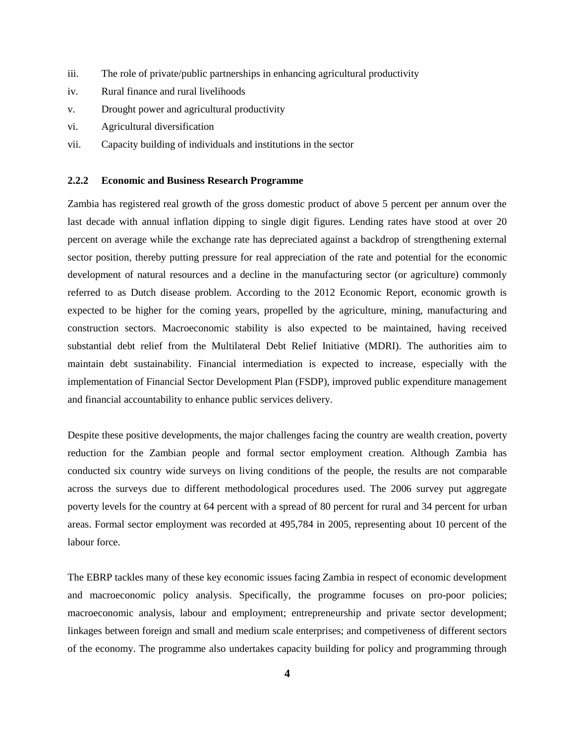- iii. The role of private/public partnerships in enhancing agricultural productivity
- iv. Rural finance and rural livelihoods
- v. Drought power and agricultural productivity
- vi. Agricultural diversification
- vii. Capacity building of individuals and institutions in the sector

### <span id="page-10-0"></span>**2.2.2 Economic and Business Research Programme**

Zambia has registered real growth of the gross domestic product of above 5 percent per annum over the last decade with annual inflation dipping to single digit figures. Lending rates have stood at over 20 percent on average while the exchange rate has depreciated against a backdrop of strengthening external sector position, thereby putting pressure for real appreciation of the rate and potential for the economic development of natural resources and a decline in the manufacturing sector (or agriculture) commonly referred to as Dutch disease problem. According to the 2012 Economic Report, economic growth is expected to be higher for the coming years, propelled by the agriculture, mining, manufacturing and construction sectors. Macroeconomic stability is also expected to be maintained, having received substantial debt relief from the Multilateral Debt Relief Initiative (MDRI). The authorities aim to maintain debt sustainability. Financial intermediation is expected to increase, especially with the implementation of Financial Sector Development Plan (FSDP), improved public expenditure management and financial accountability to enhance public services delivery.

Despite these positive developments, the major challenges facing the country are wealth creation, poverty reduction for the Zambian people and formal sector employment creation. Although Zambia has conducted six country wide surveys on living conditions of the people, the results are not comparable across the surveys due to different methodological procedures used. The 2006 survey put aggregate poverty levels for the country at 64 percent with a spread of 80 percent for rural and 34 percent for urban areas. Formal sector employment was recorded at 495,784 in 2005, representing about 10 percent of the labour force.

The EBRP tackles many of these key economic issues facing Zambia in respect of economic development and macroeconomic policy analysis. Specifically, the programme focuses on pro-poor policies; macroeconomic analysis, labour and employment; entrepreneurship and private sector development; linkages between foreign and small and medium scale enterprises; and competiveness of different sectors of the economy. The programme also undertakes capacity building for policy and programming through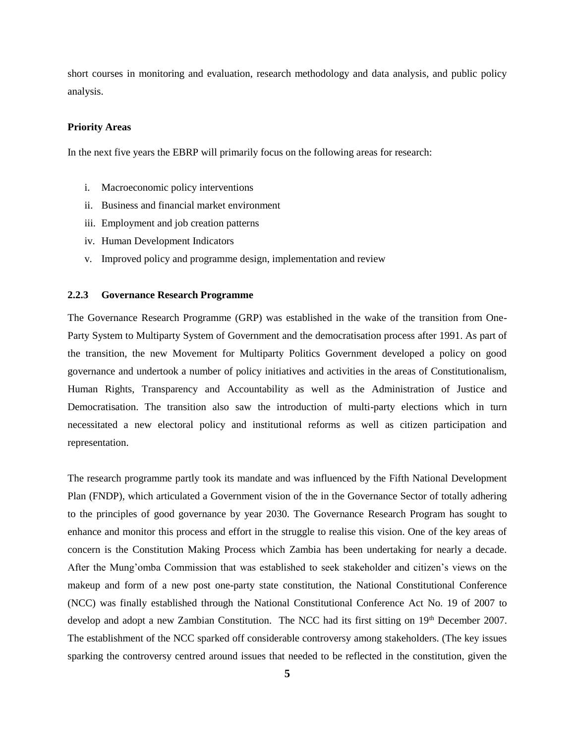short courses in monitoring and evaluation, research methodology and data analysis, and public policy analysis.

#### **Priority Areas**

In the next five years the EBRP will primarily focus on the following areas for research:

- i. Macroeconomic policy interventions
- ii. Business and financial market environment
- iii. Employment and job creation patterns
- iv. Human Development Indicators
- v. Improved policy and programme design, implementation and review

#### <span id="page-11-0"></span>**2.2.3 Governance Research Programme**

The Governance Research Programme (GRP) was established in the wake of the transition from One-Party System to Multiparty System of Government and the democratisation process after 1991. As part of the transition, the new Movement for Multiparty Politics Government developed a policy on good governance and undertook a number of policy initiatives and activities in the areas of Constitutionalism, Human Rights, Transparency and Accountability as well as the Administration of Justice and Democratisation. The transition also saw the introduction of multi-party elections which in turn necessitated a new electoral policy and institutional reforms as well as citizen participation and representation.

The research programme partly took its mandate and was influenced by the Fifth National Development Plan (FNDP), which articulated a Government vision of the in the Governance Sector of totally adhering to the principles of good governance by year 2030. The Governance Research Program has sought to enhance and monitor this process and effort in the struggle to realise this vision. One of the key areas of concern is the Constitution Making Process which Zambia has been undertaking for nearly a decade. After the Mung'omba Commission that was established to seek stakeholder and citizen's views on the makeup and form of a new post one-party state constitution, the National Constitutional Conference (NCC) was finally established through the National Constitutional Conference Act No. 19 of 2007 to develop and adopt a new Zambian Constitution. The NCC had its first sitting on 19<sup>th</sup> December 2007. The establishment of the NCC sparked off considerable controversy among stakeholders. (The key issues sparking the controversy centred around issues that needed to be reflected in the constitution, given the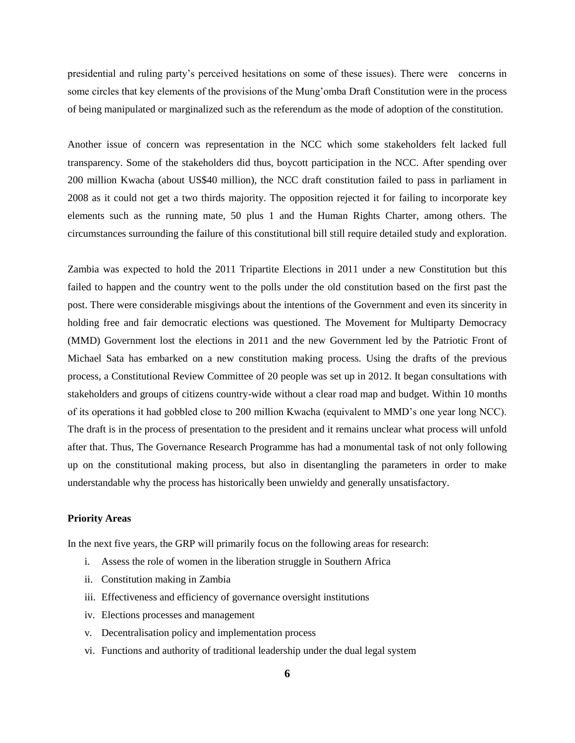presidential and ruling party's perceived hesitations on some of these issues). There were concerns in some circles that key elements of the provisions of the Mung'omba Draft Constitution were in the process of being manipulated or marginalized such as the referendum as the mode of adoption of the constitution.

Another issue of concern was representation in the NCC which some stakeholders felt lacked full transparency. Some of the stakeholders did thus, boycott participation in the NCC. After spending over 200 million Kwacha (about US\$40 million), the NCC draft constitution failed to pass in parliament in 2008 as it could not get a two thirds majority. The opposition rejected it for failing to incorporate key elements such as the running mate, 50 plus 1 and the Human Rights Charter, among others. The circumstances surrounding the failure of this constitutional bill still require detailed study and exploration.

Zambia was expected to hold the 2011 Tripartite Elections in 2011 under a new Constitution but this failed to happen and the country went to the polls under the old constitution based on the first past the post. There were considerable misgivings about the intentions of the Government and even its sincerity in holding free and fair democratic elections was questioned. The Movement for Multiparty Democracy (MMD) Government lost the elections in 2011 and the new Government led by the Patriotic Front of Michael Sata has embarked on a new constitution making process. Using the drafts of the previous process, a Constitutional Review Committee of 20 people was set up in 2012. It began consultations with stakeholders and groups of citizens country-wide without a clear road map and budget. Within 10 months of its operations it had gobbled close to 200 million Kwacha (equivalent to MMD's one year long NCC). The draft is in the process of presentation to the president and it remains unclear what process will unfold after that. Thus, The Governance Research Programme has had a monumental task of not only following up on the constitutional making process, but also in disentangling the parameters in order to make understandable why the process has historically been unwieldy and generally unsatisfactory.

#### **Priority Areas**

In the next five years, the GRP will primarily focus on the following areas for research:

- i. Assess the role of women in the liberation struggle in Southern Africa
- ii. Constitution making in Zambia
- iii. Effectiveness and efficiency of governance oversight institutions
- iv. Elections processes and management
- v. Decentralisation policy and implementation process
- vi. Functions and authority of traditional leadership under the dual legal system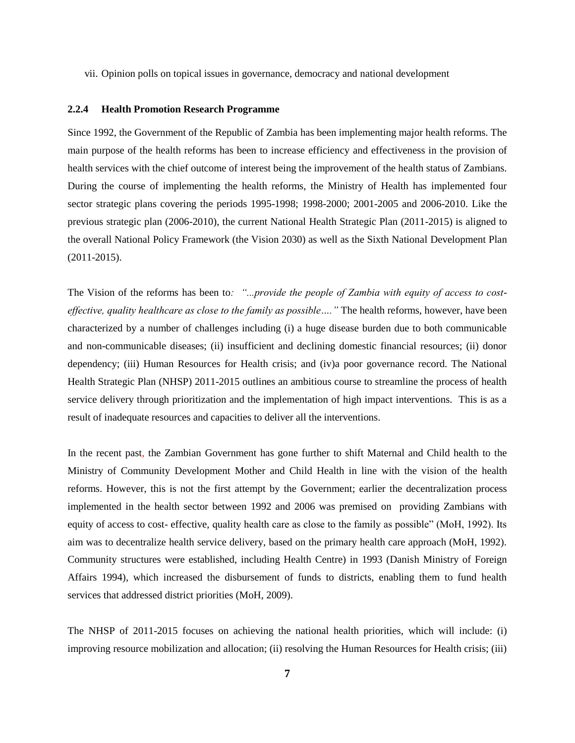vii. Opinion polls on topical issues in governance, democracy and national development

### <span id="page-13-0"></span>**2.2.4 Health Promotion Research Programme**

Since 1992, the Government of the Republic of Zambia has been implementing major health reforms. The main purpose of the health reforms has been to increase efficiency and effectiveness in the provision of health services with the chief outcome of interest being the improvement of the health status of Zambians. During the course of implementing the health reforms, the Ministry of Health has implemented four sector strategic plans covering the periods 1995-1998; 1998-2000; 2001-2005 and 2006-2010. Like the previous strategic plan (2006-2010), the current National Health Strategic Plan (2011-2015) is aligned to the overall National Policy Framework (the Vision 2030) as well as the Sixth National Development Plan (2011-2015).

The Vision of the reforms has been to*: "...provide the people of Zambia with equity of access to costeffective, quality healthcare as close to the family as possible…."* The health reforms, however, have been characterized by a number of challenges including (i) a huge disease burden due to both communicable and non-communicable diseases; (ii) insufficient and declining domestic financial resources; (ii) donor dependency; (iii) Human Resources for Health crisis; and (iv)a poor governance record. The National Health Strategic Plan (NHSP) 2011-2015 outlines an ambitious course to streamline the process of health service delivery through prioritization and the implementation of high impact interventions. This is as a result of inadequate resources and capacities to deliver all the interventions.

In the recent past, the Zambian Government has gone further to shift Maternal and Child health to the Ministry of Community Development Mother and Child Health in line with the vision of the health reforms. However, this is not the first attempt by the Government; earlier the decentralization process implemented in the health sector between 1992 and 2006 was premised on providing Zambians with equity of access to cost- effective, quality health care as close to the family as possible" (MoH, 1992). Its aim was to decentralize health service delivery, based on the primary health care approach (MoH, 1992). Community structures were established, including Health Centre) in 1993 (Danish Ministry of Foreign Affairs 1994), which increased the disbursement of funds to districts, enabling them to fund health services that addressed district priorities (MoH, 2009).

The NHSP of 2011-2015 focuses on achieving the national health priorities, which will include: (i) improving resource mobilization and allocation; (ii) resolving the Human Resources for Health crisis; (iii)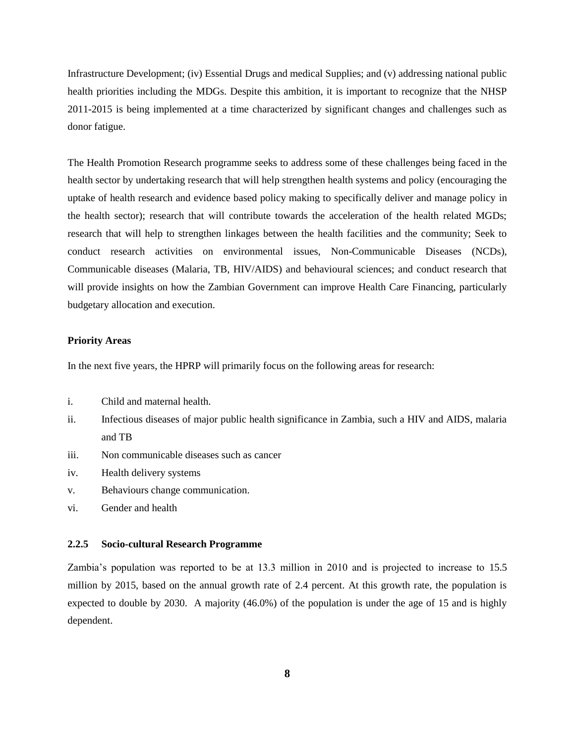Infrastructure Development; (iv) Essential Drugs and medical Supplies; and (v) addressing national public health priorities including the MDGs. Despite this ambition, it is important to recognize that the NHSP 2011-2015 is being implemented at a time characterized by significant changes and challenges such as donor fatigue.

The Health Promotion Research programme seeks to address some of these challenges being faced in the health sector by undertaking research that will help strengthen health systems and policy (encouraging the uptake of health research and evidence based policy making to specifically deliver and manage policy in the health sector); research that will contribute towards the acceleration of the health related MGDs; research that will help to strengthen linkages between the health facilities and the community; Seek to conduct research activities on environmental issues, Non-Communicable Diseases (NCDs), Communicable diseases (Malaria, TB, HIV/AIDS) and behavioural sciences; and conduct research that will provide insights on how the Zambian Government can improve Health Care Financing, particularly budgetary allocation and execution.

#### **Priority Areas**

In the next five years, the HPRP will primarily focus on the following areas for research:

- i. Child and maternal health.
- ii. Infectious diseases of major public health significance in Zambia, such a HIV and AIDS, malaria and TB
- iii. Non communicable diseases such as cancer
- iv. Health delivery systems
- v. Behaviours change communication.
- vi. Gender and health

### <span id="page-14-0"></span>**2.2.5 Socio-cultural Research Programme**

Zambia's population was reported to be at 13.3 million in 2010 and is projected to increase to 15.5 million by 2015, based on the annual growth rate of 2.4 percent. At this growth rate, the population is expected to double by 2030. A majority (46.0%) of the population is under the age of 15 and is highly dependent.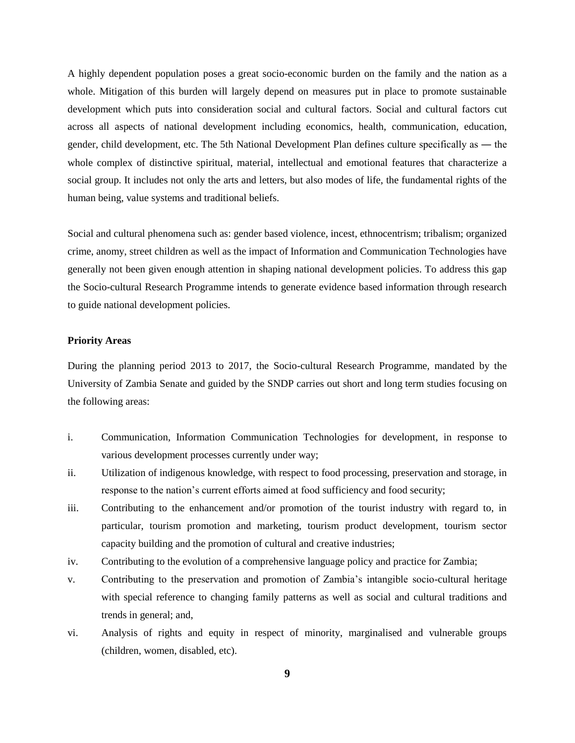A highly dependent population poses a great socio-economic burden on the family and the nation as a whole. Mitigation of this burden will largely depend on measures put in place to promote sustainable development which puts into consideration social and cultural factors. Social and cultural factors cut across all aspects of national development including economics, health, communication, education, gender, child development, etc. The 5th National Development Plan defines culture specifically as ― the whole complex of distinctive spiritual, material, intellectual and emotional features that characterize a social group. It includes not only the arts and letters, but also modes of life, the fundamental rights of the human being, value systems and traditional beliefs.

Social and cultural phenomena such as: gender based violence, incest, ethnocentrism; tribalism; organized crime, anomy, street children as well as the impact of Information and Communication Technologies have generally not been given enough attention in shaping national development policies. To address this gap the Socio-cultural Research Programme intends to generate evidence based information through research to guide national development policies.

### **Priority Areas**

During the planning period 2013 to 2017, the Socio-cultural Research Programme, mandated by the University of Zambia Senate and guided by the SNDP carries out short and long term studies focusing on the following areas:

- i. Communication, Information Communication Technologies for development, in response to various development processes currently under way;
- ii. Utilization of indigenous knowledge, with respect to food processing, preservation and storage, in response to the nation's current efforts aimed at food sufficiency and food security;
- iii. Contributing to the enhancement and/or promotion of the tourist industry with regard to, in particular, tourism promotion and marketing, tourism product development, tourism sector capacity building and the promotion of cultural and creative industries;
- iv. Contributing to the evolution of a comprehensive language policy and practice for Zambia;
- v. Contributing to the preservation and promotion of Zambia's intangible socio-cultural heritage with special reference to changing family patterns as well as social and cultural traditions and trends in general; and,
- vi. Analysis of rights and equity in respect of minority, marginalised and vulnerable groups (children, women, disabled, etc).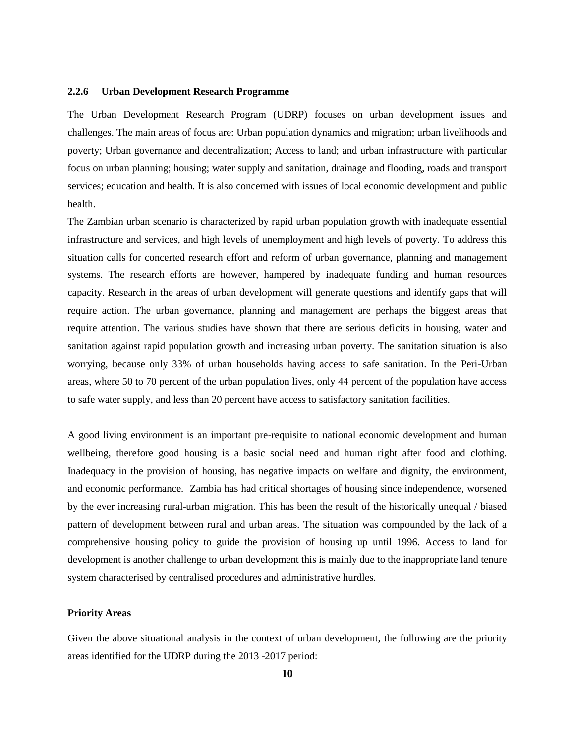#### <span id="page-16-0"></span>**2.2.6 Urban Development Research Programme**

The Urban Development Research Program (UDRP) focuses on urban development issues and challenges. The main areas of focus are: Urban population dynamics and migration; urban livelihoods and poverty; Urban governance and decentralization; Access to land; and urban infrastructure with particular focus on urban planning; housing; water supply and sanitation, drainage and flooding, roads and transport services; education and health. It is also concerned with issues of local economic development and public health.

The Zambian urban scenario is characterized by rapid urban population growth with inadequate essential infrastructure and services, and high levels of unemployment and high levels of poverty. To address this situation calls for concerted research effort and reform of urban governance, planning and management systems. The research efforts are however, hampered by inadequate funding and human resources capacity. Research in the areas of urban development will generate questions and identify gaps that will require action. The urban governance, planning and management are perhaps the biggest areas that require attention. The various studies have shown that there are serious deficits in housing, water and sanitation against rapid population growth and increasing urban poverty. The sanitation situation is also worrying, because only 33% of urban households having access to safe sanitation. In the Peri-Urban areas, where 50 to 70 percent of the urban population lives, only 44 percent of the population have access to safe water supply, and less than 20 percent have access to satisfactory sanitation facilities.

A good living environment is an important pre-requisite to national economic development and human wellbeing, therefore good housing is a basic social need and human right after food and clothing. Inadequacy in the provision of housing, has negative impacts on welfare and dignity, the environment, and economic performance. Zambia has had critical shortages of housing since independence, worsened by the ever increasing rural-urban migration. This has been the result of the historically unequal / biased pattern of development between rural and urban areas. The situation was compounded by the lack of a comprehensive housing policy to guide the provision of housing up until 1996. Access to land for development is another challenge to urban development this is mainly due to the inappropriate land tenure system characterised by centralised procedures and administrative hurdles.

#### **Priority Areas**

Given the above situational analysis in the context of urban development, the following are the priority areas identified for the UDRP during the 2013 -2017 period: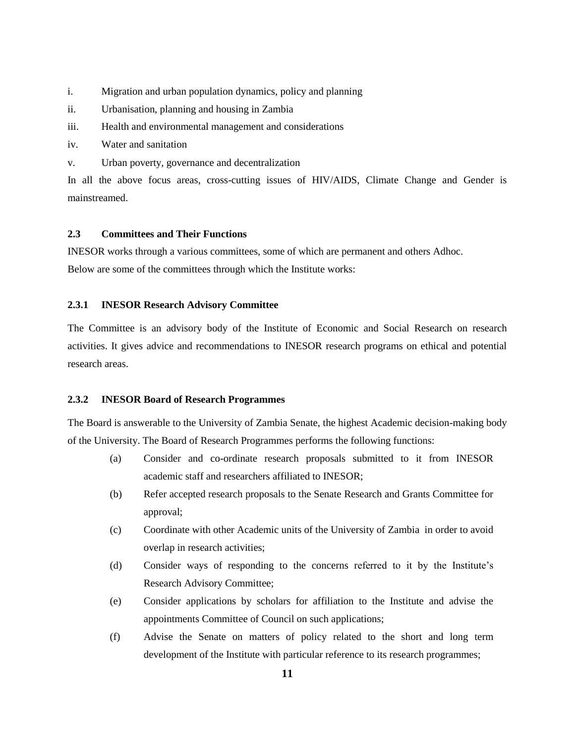- i. Migration and urban population dynamics, policy and planning
- ii. Urbanisation, planning and housing in Zambia
- iii. Health and environmental management and considerations
- iv. Water and sanitation
- v. Urban poverty, governance and decentralization

In all the above focus areas, cross-cutting issues of HIV/AIDS, Climate Change and Gender is mainstreamed.

### <span id="page-17-0"></span>**2.3 Committees and Their Functions**

INESOR works through a various committees, some of which are permanent and others Adhoc. Below are some of the committees through which the Institute works:

### <span id="page-17-1"></span>**2.3.1 INESOR Research Advisory Committee**

The Committee is an advisory body of the Institute of Economic and Social Research on research activities. It gives advice and recommendations to INESOR research programs on ethical and potential research areas.

#### <span id="page-17-2"></span>**2.3.2 INESOR Board of Research Programmes**

The Board is answerable to the University of Zambia Senate, the highest Academic decision-making body of the University. The Board of Research Programmes performs the following functions:

- (a) Consider and co-ordinate research proposals submitted to it from INESOR academic staff and researchers affiliated to INESOR;
- (b) Refer accepted research proposals to the Senate Research and Grants Committee for approval;
- (c) Coordinate with other Academic units of the University of Zambia in order to avoid overlap in research activities;
- (d) Consider ways of responding to the concerns referred to it by the Institute's Research Advisory Committee;
- (e) Consider applications by scholars for affiliation to the Institute and advise the appointments Committee of Council on such applications;
- (f) Advise the Senate on matters of policy related to the short and long term development of the Institute with particular reference to its research programmes;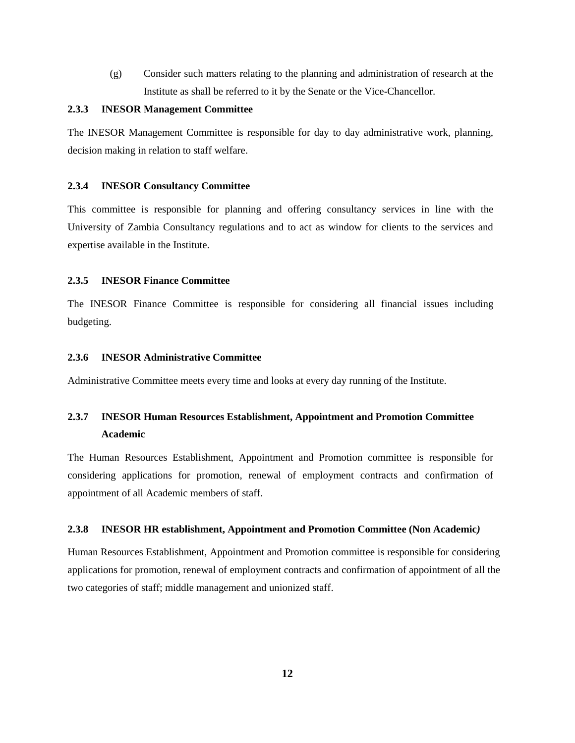(g) Consider such matters relating to the planning and administration of research at the Institute as shall be referred to it by the Senate or the Vice-Chancellor.

#### <span id="page-18-0"></span>**2.3.3 INESOR Management Committee**

The INESOR Management Committee is responsible for day to day administrative work, planning, decision making in relation to staff welfare.

#### <span id="page-18-1"></span>**2.3.4 INESOR Consultancy Committee**

This committee is responsible for planning and offering consultancy services in line with the University of Zambia Consultancy regulations and to act as window for clients to the services and expertise available in the Institute.

### <span id="page-18-2"></span>**2.3.5 INESOR Finance Committee**

The INESOR Finance Committee is responsible for considering all financial issues including budgeting.

### <span id="page-18-3"></span>**2.3.6 INESOR Administrative Committee**

Administrative Committee meets every time and looks at every day running of the Institute.

# <span id="page-18-4"></span>**2.3.7 INESOR Human Resources Establishment, Appointment and Promotion Committee Academic**

The Human Resources Establishment, Appointment and Promotion committee is responsible for considering applications for promotion, renewal of employment contracts and confirmation of appointment of all Academic members of staff.

#### <span id="page-18-5"></span>**2.3.8 INESOR HR establishment, Appointment and Promotion Committee (Non Academic***)*

Human Resources Establishment, Appointment and Promotion committee is responsible for considering applications for promotion, renewal of employment contracts and confirmation of appointment of all the two categories of staff; middle management and unionized staff.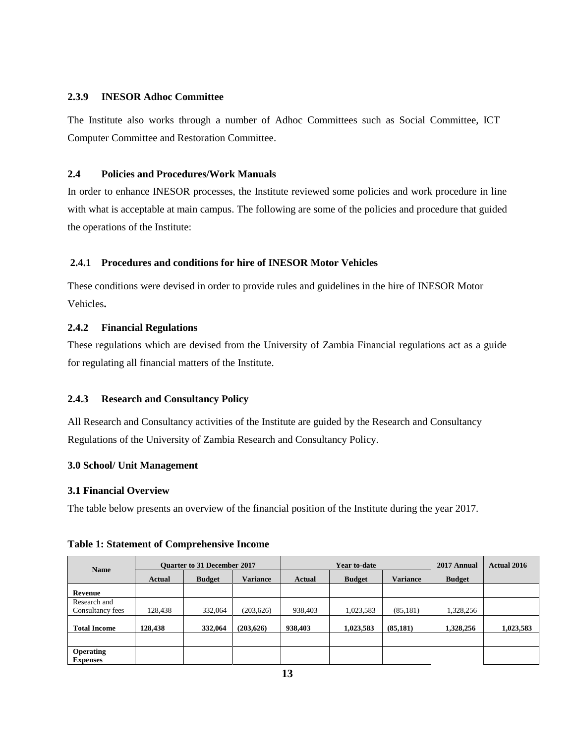### <span id="page-19-0"></span>**2.3.9 INESOR Adhoc Committee**

The Institute also works through a number of Adhoc Committees such as Social Committee, ICT Computer Committee and Restoration Committee.

### <span id="page-19-1"></span>**2.4 Policies and Procedures/Work Manuals**

In order to enhance INESOR processes, the Institute reviewed some policies and work procedure in line with what is acceptable at main campus. The following are some of the policies and procedure that guided the operations of the Institute:

### <span id="page-19-2"></span>**2.4.1 Procedures and conditions for hire of INESOR Motor Vehicles**

These conditions were devised in order to provide rules and guidelines in the hire of INESOR Motor Vehicles**.**

### **2.4.2 Financial Regulations**

These regulations which are devised from the University of Zambia Financial regulations act as a guide for regulating all financial matters of the Institute.

### <span id="page-19-3"></span>**2.4.3 Research and Consultancy Policy**

All Research and Consultancy activities of the Institute are guided by the Research and Consultancy Regulations of the University of Zambia Research and Consultancy Policy.

### **3.0 School/ Unit Management**

### **3.1 Financial Overview**

The table below presents an overview of the financial position of the Institute during the year 2017.

| <b>Name</b>                         | <b>Ouarter to 31 December 2017</b> |               | Year to-date    |         |               | 2017 Annual     | <b>Actual 2016</b> |           |
|-------------------------------------|------------------------------------|---------------|-----------------|---------|---------------|-----------------|--------------------|-----------|
|                                     | <b>Actual</b>                      | <b>Budget</b> | <b>Variance</b> | Actual  | <b>Budget</b> | <b>Variance</b> | <b>Budget</b>      |           |
| Revenue                             |                                    |               |                 |         |               |                 |                    |           |
| Research and                        |                                    |               |                 |         |               |                 |                    |           |
| Consultancy fees                    | 128,438                            | 332,064       | (203, 626)      | 938,403 | 1,023,583     | (85, 181)       | 1,328,256          |           |
| <b>Total Income</b>                 | 128,438                            | 332,064       | (203,626)       | 938,403 | 1,023,583     | (85, 181)       | 1,328,256          | 1,023,583 |
|                                     |                                    |               |                 |         |               |                 |                    |           |
| <b>Operating</b><br><b>Expenses</b> |                                    |               |                 |         |               |                 |                    |           |

### **Table 1: Statement of Comprehensive Income**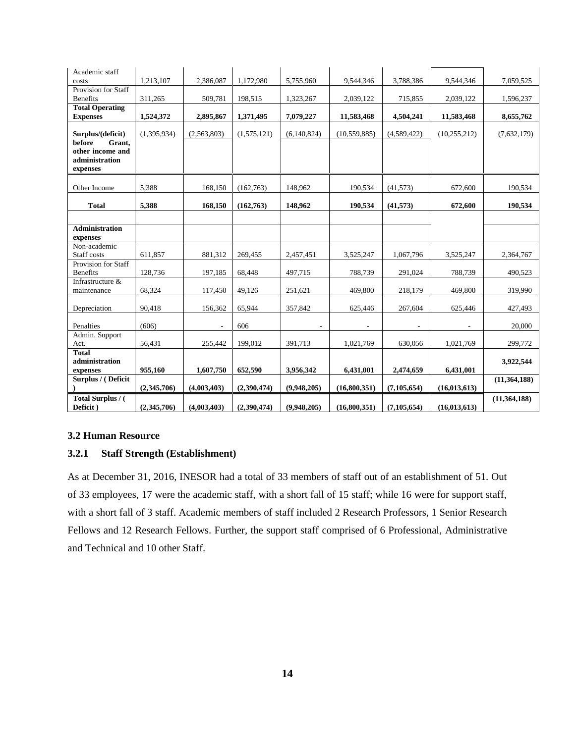| Academic staff                    |             |                          |             |             |                |               |                |                |
|-----------------------------------|-------------|--------------------------|-------------|-------------|----------------|---------------|----------------|----------------|
| costs                             | 1,213,107   | 2,386,087                | 1,172,980   | 5,755,960   | 9,544,346      | 3,788,386     | 9,544,346      | 7,059,525      |
| Provision for Staff               |             |                          |             |             |                |               |                |                |
| <b>Benefits</b>                   | 311,265     | 509,781                  | 198,515     | 1,323,267   | 2,039,122      | 715,855       | 2,039,122      | 1,596,237      |
| <b>Total Operating</b>            |             |                          |             |             |                |               |                |                |
| <b>Expenses</b>                   | 1,524,372   | 2,895,867                | 1,371,495   | 7,079,227   | 11,583,468     | 4,504,241     | 11,583,468     | 8,655,762      |
| Surplus/(deficit)                 | (1,395,934) | (2.563.803)              | (1,575,121) | (6,140,824) | (10, 559, 885) | (4,589,422)   | (10, 255, 212) | (7,632,179)    |
| before<br>Grant,                  |             |                          |             |             |                |               |                |                |
| other income and                  |             |                          |             |             |                |               |                |                |
| administration                    |             |                          |             |             |                |               |                |                |
| expenses                          |             |                          |             |             |                |               |                |                |
|                                   |             |                          |             |             |                |               |                |                |
| Other Income                      | 5,388       | 168,150                  | (162,763)   | 148.962     | 190,534        | (41,573)      | 672,600        | 190,534        |
| <b>Total</b>                      | 5,388       | 168,150                  | (162,763)   | 148,962     | 190,534        | (41,573)      | 672,600        | 190,534        |
|                                   |             |                          |             |             |                |               |                |                |
|                                   |             |                          |             |             |                |               |                |                |
| <b>Administration</b><br>expenses |             |                          |             |             |                |               |                |                |
| Non-academic                      |             |                          |             |             |                |               |                |                |
| Staff costs                       | 611,857     | 881,312                  | 269,455     | 2,457,451   | 3,525,247      | 1,067,796     | 3,525,247      | 2,364,767      |
| Provision for Staff               |             |                          |             |             |                |               |                |                |
| <b>Benefits</b>                   | 128,736     | 197,185                  | 68,448      | 497,715     | 788,739        | 291,024       | 788,739        | 490,523        |
| Infrastructure &                  |             |                          |             |             |                |               |                |                |
| maintenance                       | 68,324      | 117,450                  | 49,126      | 251,621     | 469,800        | 218,179       | 469,800        | 319,990        |
| Depreciation                      | 90,418      | 156,362                  | 65,944      | 357,842     | 625,446        | 267,604       | 625,446        | 427,493        |
|                                   |             |                          |             |             |                |               |                |                |
| Penalties                         | (606)       | $\overline{\phantom{a}}$ | 606         |             |                |               |                | 20,000         |
| Admin. Support                    |             |                          |             |             |                |               |                |                |
| Act.                              | 56,431      | 255,442                  | 199,012     | 391,713     | 1,021,769      | 630.056       | 1,021,769      | 299,772        |
| <b>Total</b>                      |             |                          |             |             |                |               |                |                |
| administration<br>expenses        | 955,160     | 1,607,750                | 652.590     | 3.956.342   | 6,431,001      | 2,474,659     | 6,431,001      | 3,922,544      |
| Surplus / (Deficit                |             |                          |             |             |                |               |                | (11,364,188)   |
|                                   | (2,345,706) | (4,003,403)              | (2,390,474) | (9,948,205) | (16,800,351)   | (7, 105, 654) | (16, 013, 613) |                |
| Total Surplus / (                 |             |                          |             |             |                |               |                | (11, 364, 188) |
| Deficit)                          | (2,345,706) | (4,003,403)              | (2,390,474) | (9,948,205) | (16,800,351)   | (7, 105, 654) | (16, 013, 613) |                |

### **3.2 Human Resource**

### <span id="page-20-0"></span>**3.2.1 Staff Strength (Establishment)**

As at December 31, 2016, INESOR had a total of 33 members of staff out of an establishment of 51. Out of 33 employees, 17 were the academic staff, with a short fall of 15 staff; while 16 were for support staff, with a short fall of 3 staff. Academic members of staff included 2 Research Professors, 1 Senior Research Fellows and 12 Research Fellows. Further, the support staff comprised of 6 Professional, Administrative and Technical and 10 other Staff.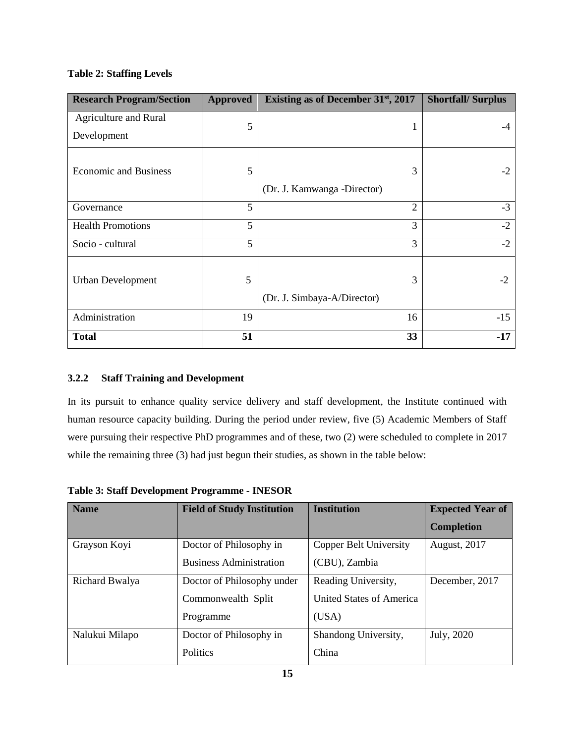# **Table 2: Staffing Levels**

| <b>Research Program/Section</b> | <b>Approved</b> | Existing as of December 31 <sup>st</sup> , 2017 | <b>Shortfall/Surplus</b> |
|---------------------------------|-----------------|-------------------------------------------------|--------------------------|
| Agriculture and Rural           | 5               | 1                                               |                          |
| Development                     |                 |                                                 |                          |
| <b>Economic and Business</b>    | 5               | 3                                               | $-2$                     |
|                                 |                 | (Dr. J. Kamwanga -Director)                     |                          |
| Governance                      | 5               | $\overline{2}$                                  | $-3$                     |
| <b>Health Promotions</b>        | 5               | 3                                               | $-2$                     |
| Socio - cultural                | 5               | 3                                               | $-2$                     |
| <b>Urban Development</b>        | 5               | 3                                               | $-2$                     |
|                                 |                 | (Dr. J. Simbaya-A/Director)                     |                          |
| Administration                  | 19              | 16                                              | $-15$                    |
| <b>Total</b>                    | 51              | 33                                              | $-17$                    |

# <span id="page-21-0"></span>**3.2.2 Staff Training and Development**

In its pursuit to enhance quality service delivery and staff development, the Institute continued with human resource capacity building. During the period under review, five (5) Academic Members of Staff were pursuing their respective PhD programmes and of these, two (2) were scheduled to complete in 2017 while the remaining three (3) had just begun their studies, as shown in the table below:

| <b>Name</b>    | <b>Field of Study Institution</b> | <b>Institution</b>            | <b>Expected Year of</b> |
|----------------|-----------------------------------|-------------------------------|-------------------------|
|                |                                   |                               | <b>Completion</b>       |
| Grayson Koyi   | Doctor of Philosophy in           | <b>Copper Belt University</b> | <b>August, 2017</b>     |
|                | <b>Business Administration</b>    | (CBU), Zambia                 |                         |
| Richard Bwalya | Doctor of Philosophy under        | Reading University,           | December, 2017          |
|                | Commonwealth Split                | United States of America      |                         |
|                | Programme                         | (USA)                         |                         |
| Nalukui Milapo | Doctor of Philosophy in           | Shandong University,          | July, 2020              |
|                | Politics                          | China                         |                         |

**Table 3: Staff Development Programme - INESOR**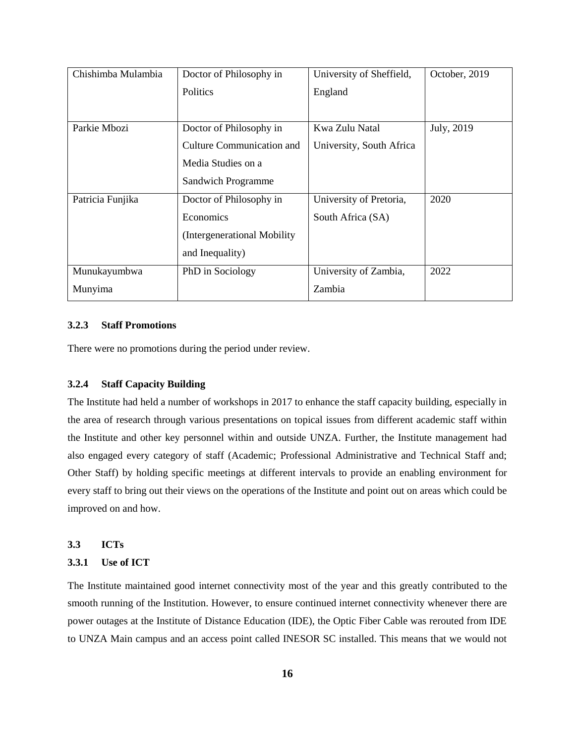| Chishimba Mulambia | Doctor of Philosophy in          | University of Sheffield, | October, 2019 |
|--------------------|----------------------------------|--------------------------|---------------|
|                    | <b>Politics</b>                  | England                  |               |
|                    |                                  |                          |               |
| Parkie Mbozi       | Doctor of Philosophy in          | Kwa Zulu Natal           | July, 2019    |
|                    | <b>Culture Communication and</b> | University, South Africa |               |
|                    | Media Studies on a               |                          |               |
|                    | Sandwich Programme               |                          |               |
| Patricia Funjika   | Doctor of Philosophy in          | University of Pretoria,  | 2020          |
|                    | Economics                        | South Africa (SA)        |               |
|                    | (Intergenerational Mobility)     |                          |               |
|                    | and Inequality)                  |                          |               |
| Munukayumbwa       | PhD in Sociology                 | University of Zambia,    | 2022          |
| Munyima            |                                  | Zambia                   |               |

### <span id="page-22-0"></span>**3.2.3 Staff Promotions**

There were no promotions during the period under review.

## **3.2.4 Staff Capacity Building**

The Institute had held a number of workshops in 2017 to enhance the staff capacity building, especially in the area of research through various presentations on topical issues from different academic staff within the Institute and other key personnel within and outside UNZA. Further, the Institute management had also engaged every category of staff (Academic; Professional Administrative and Technical Staff and; Other Staff) by holding specific meetings at different intervals to provide an enabling environment for every staff to bring out their views on the operations of the Institute and point out on areas which could be improved on and how.

<span id="page-22-1"></span>**3.3 ICTs**

### <span id="page-22-2"></span>**3.3.1 Use of ICT**

The Institute maintained good internet connectivity most of the year and this greatly contributed to the smooth running of the Institution. However, to ensure continued internet connectivity whenever there are power outages at the Institute of Distance Education (IDE), the Optic Fiber Cable was rerouted from IDE to UNZA Main campus and an access point called INESOR SC installed. This means that we would not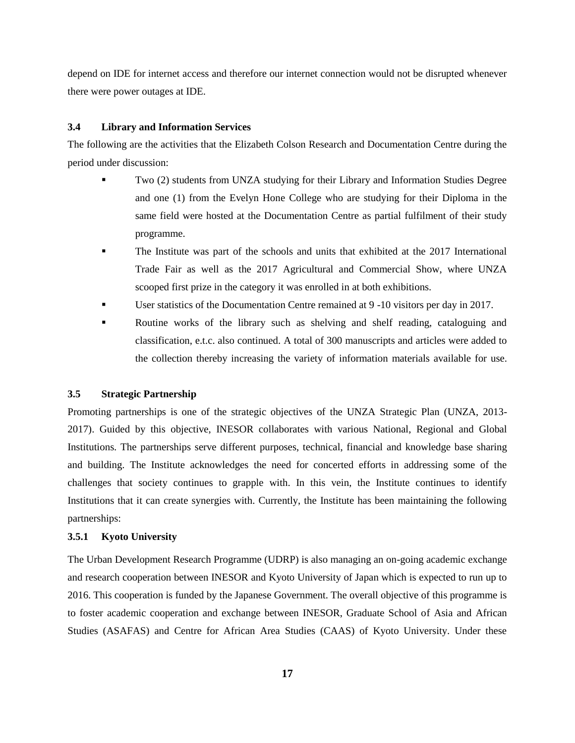depend on IDE for internet access and therefore our internet connection would not be disrupted whenever there were power outages at IDE.

#### <span id="page-23-0"></span>**3.4 Library and Information Services**

The following are the activities that the Elizabeth Colson Research and Documentation Centre during the period under discussion:

- Two (2) students from UNZA studying for their Library and Information Studies Degree and one (1) from the Evelyn Hone College who are studying for their Diploma in the same field were hosted at the Documentation Centre as partial fulfilment of their study programme.
- The Institute was part of the schools and units that exhibited at the 2017 International Trade Fair as well as the 2017 Agricultural and Commercial Show, where UNZA scooped first prize in the category it was enrolled in at both exhibitions.
- User statistics of the Documentation Centre remained at 9 -10 visitors per day in 2017.
- Routine works of the library such as shelving and shelf reading, cataloguing and classification, e.t.c. also continued. A total of 300 manuscripts and articles were added to the collection thereby increasing the variety of information materials available for use.

### <span id="page-23-1"></span>**3.5 Strategic Partnership**

Promoting partnerships is one of the strategic objectives of the UNZA Strategic Plan (UNZA, 2013- 2017). Guided by this objective, INESOR collaborates with various National, Regional and Global Institutions. The partnerships serve different purposes, technical, financial and knowledge base sharing and building. The Institute acknowledges the need for concerted efforts in addressing some of the challenges that society continues to grapple with. In this vein, the Institute continues to identify Institutions that it can create synergies with. Currently, the Institute has been maintaining the following partnerships:

### <span id="page-23-2"></span>**3.5.1 Kyoto University**

The Urban Development Research Programme (UDRP) is also managing an on-going academic exchange and research cooperation between INESOR and Kyoto University of Japan which is expected to run up to 2016. This cooperation is funded by the Japanese Government. The overall objective of this programme is to foster academic cooperation and exchange between INESOR, Graduate School of Asia and African Studies (ASAFAS) and Centre for African Area Studies (CAAS) of Kyoto University. Under these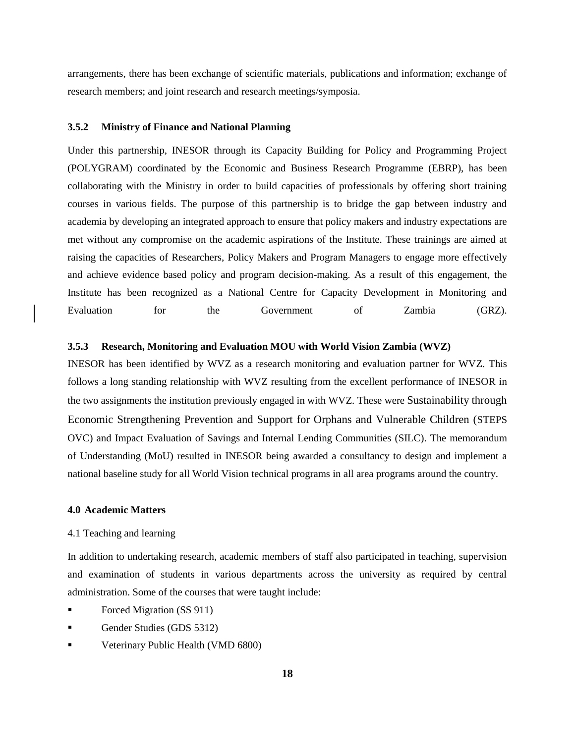arrangements, there has been exchange of scientific materials, publications and information; exchange of research members; and joint research and research meetings/symposia.

#### <span id="page-24-0"></span>**3.5.2 Ministry of Finance and National Planning**

Under this partnership, INESOR through its Capacity Building for Policy and Programming Project (POLYGRAM) coordinated by the Economic and Business Research Programme (EBRP), has been collaborating with the Ministry in order to build capacities of professionals by offering short training courses in various fields. The purpose of this partnership is to bridge the gap between industry and academia by developing an integrated approach to ensure that policy makers and industry expectations are met without any compromise on the academic aspirations of the Institute. These trainings are aimed at raising the capacities of Researchers, Policy Makers and Program Managers to engage more effectively and achieve evidence based policy and program decision-making. As a result of this engagement, the Institute has been recognized as a National Centre for Capacity Development in Monitoring and Evaluation for the Government of Zambia (GRZ).

#### **3.5.3 Research, Monitoring and Evaluation MOU with World Vision Zambia (WVZ)**

INESOR has been identified by WVZ as a research monitoring and evaluation partner for WVZ. This follows a long standing relationship with WVZ resulting from the excellent performance of INESOR in the two assignments the institution previously engaged in with WVZ. These were Sustainability through Economic Strengthening Prevention and Support for Orphans and Vulnerable Children (STEPS OVC) and Impact Evaluation of Savings and Internal Lending Communities (SILC). The memorandum of Understanding (MoU) resulted in INESOR being awarded a consultancy to design and implement a national baseline study for all World Vision technical programs in all area programs around the country.

#### <span id="page-24-1"></span>**4.0 Academic Matters**

### <span id="page-24-2"></span>4.1 Teaching and learning

In addition to undertaking research, academic members of staff also participated in teaching, supervision and examination of students in various departments across the university as required by central administration. Some of the courses that were taught include:

- Forced Migration (SS 911)
- Gender Studies (GDS 5312)
- Veterinary Public Health (VMD 6800)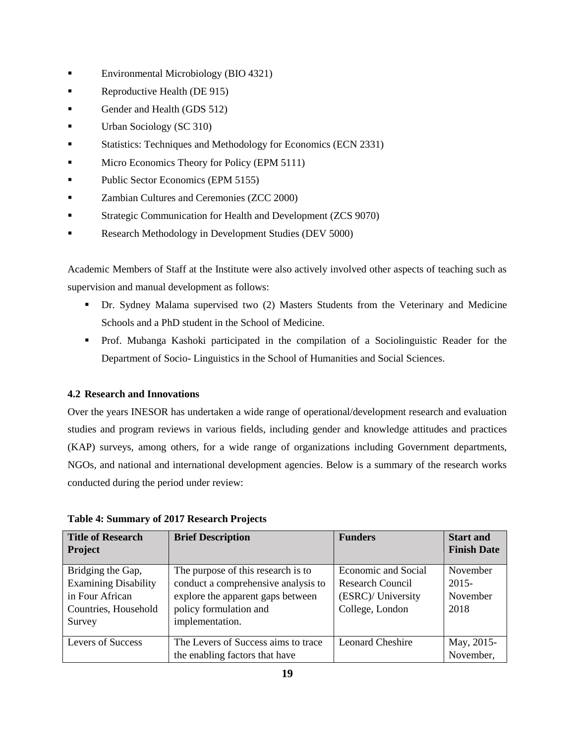- Environmental Microbiology (BIO 4321)
- Reproductive Health (DE 915)
- Gender and Health (GDS 512)
- Urban Sociology (SC 310)
- Statistics: Techniques and Methodology for Economics (ECN 2331)
- Micro Economics Theory for Policy (EPM 5111)
- **Public Sector Economics (EPM 5155)**
- **Exambian Cultures and Ceremonies (ZCC 2000)**
- Strategic Communication for Health and Development (ZCS 9070)
- Research Methodology in Development Studies (DEV 5000)

Academic Members of Staff at the Institute were also actively involved other aspects of teaching such as supervision and manual development as follows:

- Dr. Sydney Malama supervised two (2) Masters Students from the Veterinary and Medicine Schools and a PhD student in the School of Medicine.
- Prof. Mubanga Kashoki participated in the compilation of a Sociolinguistic Reader for the Department of Socio- Linguistics in the School of Humanities and Social Sciences.

## **4.2 Research and Innovations**

Over the years INESOR has undertaken a wide range of operational/development research and evaluation studies and program reviews in various fields, including gender and knowledge attitudes and practices (KAP) surveys, among others, for a wide range of organizations including Government departments, NGOs, and national and international development agencies. Below is a summary of the research works conducted during the period under review:

| Title of Research           | <b>Brief Description</b>            | <b>Funders</b>             | <b>Start and</b>   |
|-----------------------------|-------------------------------------|----------------------------|--------------------|
| <b>Project</b>              |                                     |                            | <b>Finish Date</b> |
| Bridging the Gap,           | The purpose of this research is to  | <b>Economic and Social</b> | November           |
| <b>Examining Disability</b> | conduct a comprehensive analysis to | Research Council           | $2015 -$           |
| in Four African             | explore the apparent gaps between   | (ESRC)/ University         | November           |
| Countries, Household        | policy formulation and              | College, London            | 2018               |
| Survey                      | implementation.                     |                            |                    |
| <b>Levers of Success</b>    | The Levers of Success aims to trace | <b>Leonard Cheshire</b>    | May, 2015-         |
|                             | the enabling factors that have      |                            | November,          |

**Table 4: Summary of 2017 Research Projects**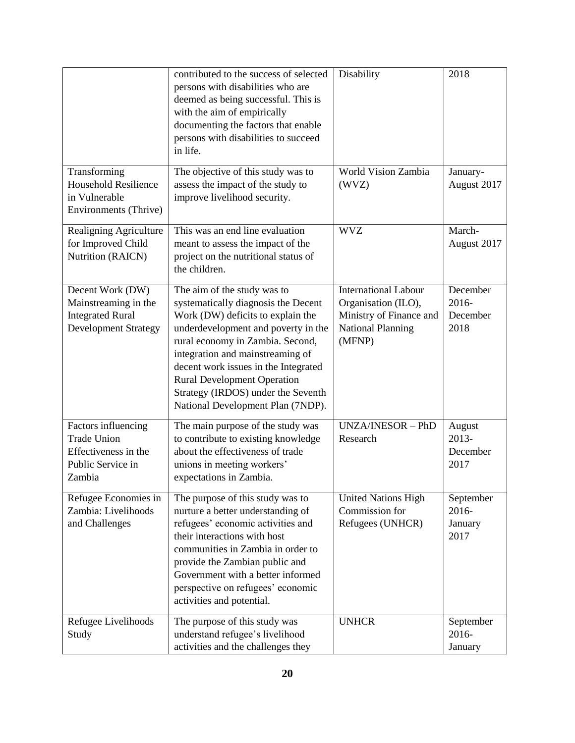|                                                                                                    | contributed to the success of selected<br>persons with disabilities who are<br>deemed as being successful. This is<br>with the aim of empirically<br>documenting the factors that enable<br>persons with disabilities to succeed<br>in life.                                                                                                                                    | Disability                                                                                                          | 2018                                  |
|----------------------------------------------------------------------------------------------------|---------------------------------------------------------------------------------------------------------------------------------------------------------------------------------------------------------------------------------------------------------------------------------------------------------------------------------------------------------------------------------|---------------------------------------------------------------------------------------------------------------------|---------------------------------------|
| Transforming<br><b>Household Resilience</b><br>in Vulnerable<br>Environments (Thrive)              | The objective of this study was to<br>assess the impact of the study to<br>improve livelihood security.                                                                                                                                                                                                                                                                         | World Vision Zambia<br>(WVZ)                                                                                        | January-<br>August 2017               |
| Realigning Agriculture<br>for Improved Child<br>Nutrition (RAICN)                                  | This was an end line evaluation<br>meant to assess the impact of the<br>project on the nutritional status of<br>the children.                                                                                                                                                                                                                                                   | <b>WVZ</b>                                                                                                          | March-<br>August 2017                 |
| Decent Work (DW)<br>Mainstreaming in the<br><b>Integrated Rural</b><br><b>Development Strategy</b> | The aim of the study was to<br>systematically diagnosis the Decent<br>Work (DW) deficits to explain the<br>underdevelopment and poverty in the<br>rural economy in Zambia. Second,<br>integration and mainstreaming of<br>decent work issues in the Integrated<br><b>Rural Development Operation</b><br>Strategy (IRDOS) under the Seventh<br>National Development Plan (7NDP). | <b>International Labour</b><br>Organisation (ILO),<br>Ministry of Finance and<br><b>National Planning</b><br>(MFNP) | December<br>2016-<br>December<br>2018 |
| Factors influencing<br><b>Trade Union</b><br>Effectiveness in the<br>Public Service in<br>Zambia   | The main purpose of the study was<br>to contribute to existing knowledge<br>about the effectiveness of trade<br>unions in meeting workers'<br>expectations in Zambia.                                                                                                                                                                                                           | UNZA/INESOR - PhD<br>Research                                                                                       | August<br>$2013-$<br>December<br>2017 |
| Refugee Economies in<br>Zambia: Livelihoods<br>and Challenges                                      | The purpose of this study was to<br>nurture a better understanding of<br>refugees' economic activities and<br>their interactions with host<br>communities in Zambia in order to<br>provide the Zambian public and<br>Government with a better informed<br>perspective on refugees' economic<br>activities and potential.                                                        | <b>United Nations High</b><br>Commission for<br>Refugees (UNHCR)                                                    | September<br>2016-<br>January<br>2017 |
| Refugee Livelihoods<br>Study                                                                       | The purpose of this study was<br>understand refugee's livelihood<br>activities and the challenges they                                                                                                                                                                                                                                                                          | <b>UNHCR</b>                                                                                                        | September<br>2016-<br>January         |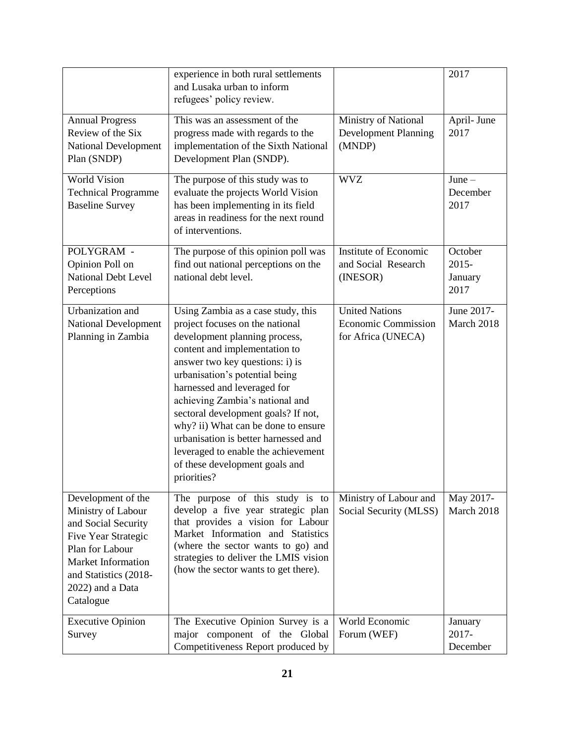|                                                                                                                                                                                                  | experience in both rural settlements<br>and Lusaka urban to inform<br>refugees' policy review.                                                                                                                                                                                                                                                                                                                                                                                               |                                                                           | 2017                                   |
|--------------------------------------------------------------------------------------------------------------------------------------------------------------------------------------------------|----------------------------------------------------------------------------------------------------------------------------------------------------------------------------------------------------------------------------------------------------------------------------------------------------------------------------------------------------------------------------------------------------------------------------------------------------------------------------------------------|---------------------------------------------------------------------------|----------------------------------------|
| <b>Annual Progress</b><br>Review of the Six<br><b>National Development</b><br>Plan (SNDP)                                                                                                        | This was an assessment of the<br>progress made with regards to the<br>implementation of the Sixth National<br>Development Plan (SNDP).                                                                                                                                                                                                                                                                                                                                                       | Ministry of National<br><b>Development Planning</b><br>(MNDP)             |                                        |
| <b>World Vision</b><br><b>Technical Programme</b><br><b>Baseline Survey</b>                                                                                                                      | The purpose of this study was to<br>evaluate the projects World Vision<br>has been implementing in its field<br>areas in readiness for the next round<br>of interventions.                                                                                                                                                                                                                                                                                                                   | <b>WVZ</b>                                                                | $June -$<br>December<br>2017           |
| POLYGRAM -<br>Opinion Poll on<br><b>National Debt Level</b><br>Perceptions                                                                                                                       | The purpose of this opinion poll was<br>find out national perceptions on the<br>national debt level.                                                                                                                                                                                                                                                                                                                                                                                         | Institute of Economic<br>and Social Research<br>(INESOR)                  | October<br>$2015 -$<br>January<br>2017 |
| Urbanization and<br><b>National Development</b><br>Planning in Zambia                                                                                                                            | Using Zambia as a case study, this<br>project focuses on the national<br>development planning process,<br>content and implementation to<br>answer two key questions: i) is<br>urbanisation's potential being<br>harnessed and leveraged for<br>achieving Zambia's national and<br>sectoral development goals? If not,<br>why? ii) What can be done to ensure<br>urbanisation is better harnessed and<br>leveraged to enable the achievement<br>of these development goals and<br>priorities? | <b>United Nations</b><br><b>Economic Commission</b><br>for Africa (UNECA) | June 2017-<br>March 2018               |
| Development of the<br>Ministry of Labour<br>and Social Security<br>Five Year Strategic<br>Plan for Labour<br><b>Market Information</b><br>and Statistics (2018-<br>2022) and a Data<br>Catalogue | The purpose of this study is to<br>Ministry of Labour and<br>develop a five year strategic plan<br>Social Security (MLSS)<br>that provides a vision for Labour<br>Market Information and Statistics<br>(where the sector wants to go) and<br>strategies to deliver the LMIS vision<br>(how the sector wants to get there).                                                                                                                                                                   |                                                                           | May 2017-<br>March 2018                |
| <b>Executive Opinion</b><br>Survey                                                                                                                                                               | The Executive Opinion Survey is a<br>major component of the Global<br>Competitiveness Report produced by                                                                                                                                                                                                                                                                                                                                                                                     | World Economic<br>Forum (WEF)                                             | January<br>2017-<br>December           |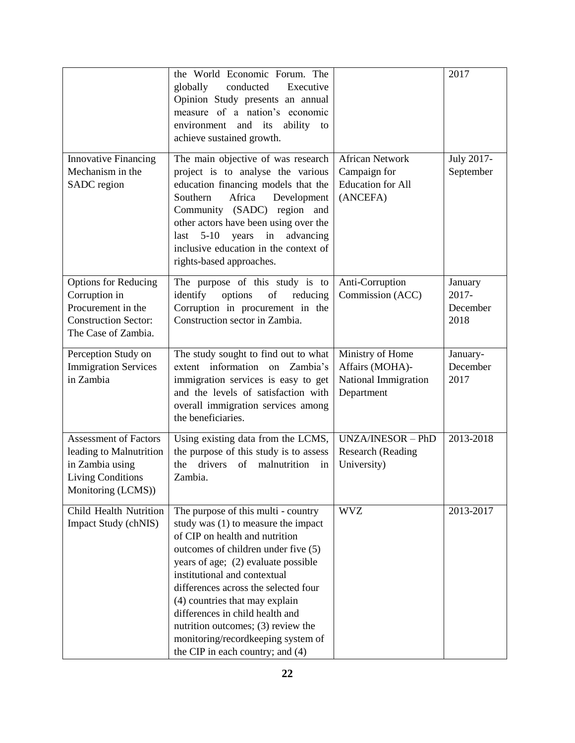|                                                                                                                              | the World Economic Forum. The<br>conducted<br>Executive<br>globally<br>Opinion Study presents an annual<br>measure of a nation's economic<br>and its<br>ability<br>environment<br>to<br>achieve sustained growth.                                                                                                                                                                                                                                       |                                                                                | 2017                                    |
|------------------------------------------------------------------------------------------------------------------------------|---------------------------------------------------------------------------------------------------------------------------------------------------------------------------------------------------------------------------------------------------------------------------------------------------------------------------------------------------------------------------------------------------------------------------------------------------------|--------------------------------------------------------------------------------|-----------------------------------------|
| <b>Innovative Financing</b><br>Mechanism in the<br>SADC region                                                               | The main objective of was research<br>project is to analyse the various<br>education financing models that the<br>Africa<br>Southern<br>Development<br>Community (SADC) region and<br>other actors have been using over the<br>$5-10$<br>years<br>in<br>advancing<br>last<br>inclusive education in the context of<br>rights-based approaches.                                                                                                          | <b>African Network</b><br>Campaign for<br><b>Education</b> for All<br>(ANCEFA) | July 2017-<br>September                 |
| <b>Options for Reducing</b><br>Corruption in<br>Procurement in the<br><b>Construction Sector:</b><br>The Case of Zambia.     | The purpose of this study is to<br>identify<br>options<br>of<br>reducing<br>Corruption in procurement in the<br>Construction sector in Zambia.                                                                                                                                                                                                                                                                                                          | Anti-Corruption<br>Commission (ACC)                                            | January<br>$2017 -$<br>December<br>2018 |
| Perception Study on<br><b>Immigration Services</b><br>in Zambia                                                              | The study sought to find out to what<br>extent information on<br>Zambia's<br>immigration services is easy to get<br>and the levels of satisfaction with<br>overall immigration services among<br>the beneficiaries.                                                                                                                                                                                                                                     | Ministry of Home<br>Affairs (MOHA)-<br>National Immigration<br>Department      | January-<br>December<br>2017            |
| <b>Assessment of Factors</b><br>leading to Malnutrition<br>in Zambia using<br><b>Living Conditions</b><br>Monitoring (LCMS)) | Using existing data from the LCMS,<br>the purpose of this study is to assess<br>drivers<br>of malnutrition<br>the<br>in<br>Zambia.                                                                                                                                                                                                                                                                                                                      | UNZA/INESOR - PhD<br>Research (Reading<br>University)                          | 2013-2018                               |
| Child Health Nutrition<br>Impact Study (chNIS)                                                                               | The purpose of this multi - country<br>study was (1) to measure the impact<br>of CIP on health and nutrition<br>outcomes of children under five (5)<br>years of age; (2) evaluate possible<br>institutional and contextual<br>differences across the selected four<br>(4) countries that may explain<br>differences in child health and<br>nutrition outcomes; (3) review the<br>monitoring/recordkeeping system of<br>the CIP in each country; and (4) | <b>WVZ</b>                                                                     | 2013-2017                               |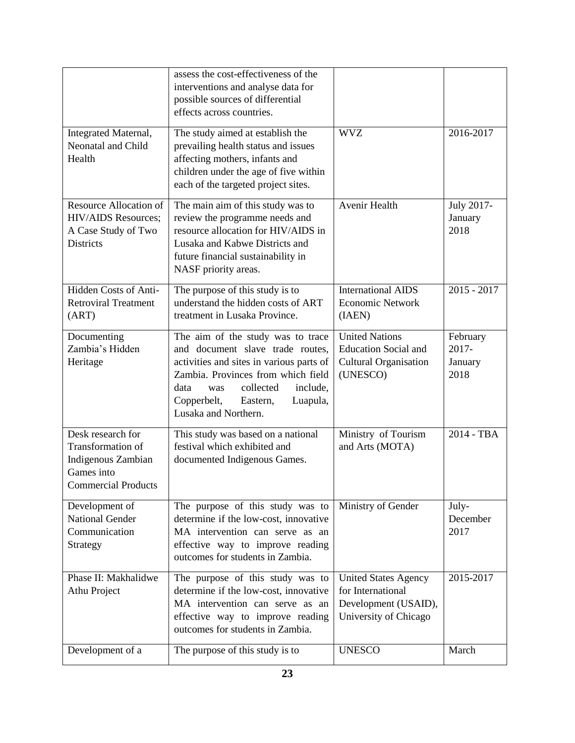|                                                                                                          | assess the cost-effectiveness of the<br>interventions and analyse data for<br>possible sources of differential<br>effects across countries.                                                                                                                    |                                                                                                   |                                      |
|----------------------------------------------------------------------------------------------------------|----------------------------------------------------------------------------------------------------------------------------------------------------------------------------------------------------------------------------------------------------------------|---------------------------------------------------------------------------------------------------|--------------------------------------|
| Integrated Maternal,<br>Neonatal and Child<br>Health                                                     | The study aimed at establish the<br>prevailing health status and issues<br>affecting mothers, infants and<br>children under the age of five within<br>each of the targeted project sites.                                                                      | 2016-2017                                                                                         |                                      |
| Resource Allocation of<br><b>HIV/AIDS</b> Resources;<br>A Case Study of Two<br><b>Districts</b>          | The main aim of this study was to<br>review the programme needs and<br>resource allocation for HIV/AIDS in<br>Lusaka and Kabwe Districts and<br>future financial sustainability in<br>NASF priority areas.                                                     | Avenir Health                                                                                     | July 2017-<br>January<br>2018        |
| Hidden Costs of Anti-<br><b>Retroviral Treatment</b><br>(ART)                                            | The purpose of this study is to<br>understand the hidden costs of ART<br>treatment in Lusaka Province.                                                                                                                                                         | <b>International AIDS</b><br><b>Economic Network</b><br>(IAEN)                                    | $2015 - 2017$                        |
| Documenting<br>Zambia's Hidden<br>Heritage                                                               | The aim of the study was to trace<br>and document slave trade routes,<br>activities and sites in various parts of<br>Zambia. Provinces from which field<br>collected<br>include,<br>data<br>was<br>Copperbelt,<br>Eastern,<br>Luapula,<br>Lusaka and Northern. | <b>United Nations</b><br><b>Education Social and</b><br><b>Cultural Organisation</b><br>(UNESCO)  | February<br>2017-<br>January<br>2018 |
| Desk research for<br>Transformation of<br>Indigenous Zambian<br>Games into<br><b>Commercial Products</b> | This study was based on a national<br>festival which exhibited and<br>documented Indigenous Games.                                                                                                                                                             | Ministry of Tourism<br>and Arts (MOTA)                                                            | 2014 - TBA                           |
| Development of<br><b>National Gender</b><br>Communication<br>Strategy                                    | The purpose of this study was to<br>determine if the low-cost, innovative<br>MA intervention can serve as an<br>effective way to improve reading<br>outcomes for students in Zambia.                                                                           | Ministry of Gender                                                                                | July-<br>December<br>2017            |
| Phase II: Makhalidwe<br>Athu Project                                                                     | The purpose of this study was to<br>determine if the low-cost, innovative<br>MA intervention can serve as an<br>effective way to improve reading<br>outcomes for students in Zambia.                                                                           | <b>United States Agency</b><br>for International<br>Development (USAID),<br>University of Chicago | 2015-2017                            |
| Development of a                                                                                         | The purpose of this study is to                                                                                                                                                                                                                                | <b>UNESCO</b>                                                                                     | March                                |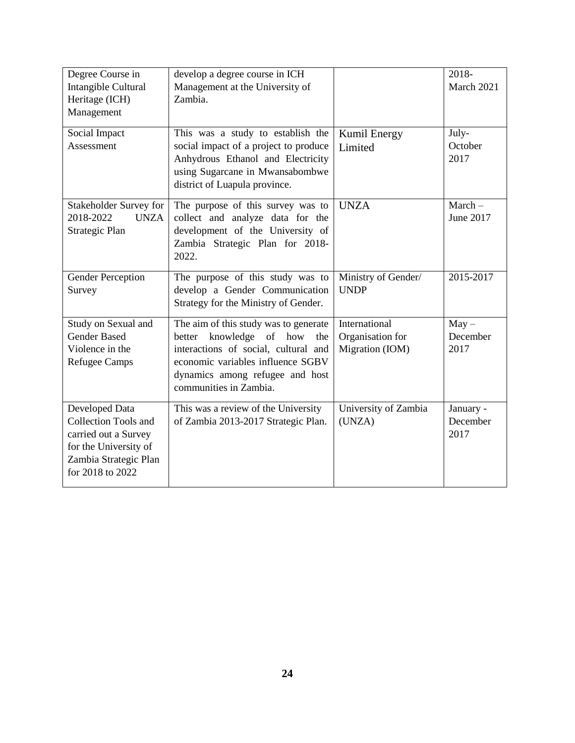| Degree Course in<br>Intangible Cultural<br>Heritage (ICH)<br>Management                                                                     | develop a degree course in ICH<br>Management at the University of<br>Zambia.                                                                                                                                               |                                                      | 2018-<br>March 2021           |
|---------------------------------------------------------------------------------------------------------------------------------------------|----------------------------------------------------------------------------------------------------------------------------------------------------------------------------------------------------------------------------|------------------------------------------------------|-------------------------------|
| Social Impact<br>Assessment                                                                                                                 | This was a study to establish the<br>social impact of a project to produce<br>Anhydrous Ethanol and Electricity<br>using Sugarcane in Mwansabombwe                                                                         | Kumil Energy<br>Limited                              | July-<br>October<br>2017      |
| Stakeholder Survey for                                                                                                                      | district of Luapula province.<br>The purpose of this survey was to                                                                                                                                                         | <b>UNZA</b>                                          | $March -$                     |
| <b>UNZA</b><br>2018-2022<br>Strategic Plan                                                                                                  | collect and analyze data for the<br>development of the University of<br>Zambia Strategic Plan for 2018-<br>2022.                                                                                                           |                                                      | June 2017                     |
| <b>Gender Perception</b><br>Survey                                                                                                          | The purpose of this study was to<br>develop a Gender Communication<br>Strategy for the Ministry of Gender.                                                                                                                 | Ministry of Gender/<br><b>UNDP</b>                   | 2015-2017                     |
| Study on Sexual and<br><b>Gender Based</b><br>Violence in the<br><b>Refugee Camps</b>                                                       | The aim of this study was to generate<br>knowledge<br>of<br>how<br>better<br>the<br>interactions of social, cultural and<br>economic variables influence SGBV<br>dynamics among refugee and host<br>communities in Zambia. | International<br>Organisation for<br>Migration (IOM) | $May -$<br>December<br>2017   |
| Developed Data<br><b>Collection Tools and</b><br>carried out a Survey<br>for the University of<br>Zambia Strategic Plan<br>for 2018 to 2022 | This was a review of the University<br>of Zambia 2013-2017 Strategic Plan.                                                                                                                                                 | University of Zambia<br>(UNZA)                       | January -<br>December<br>2017 |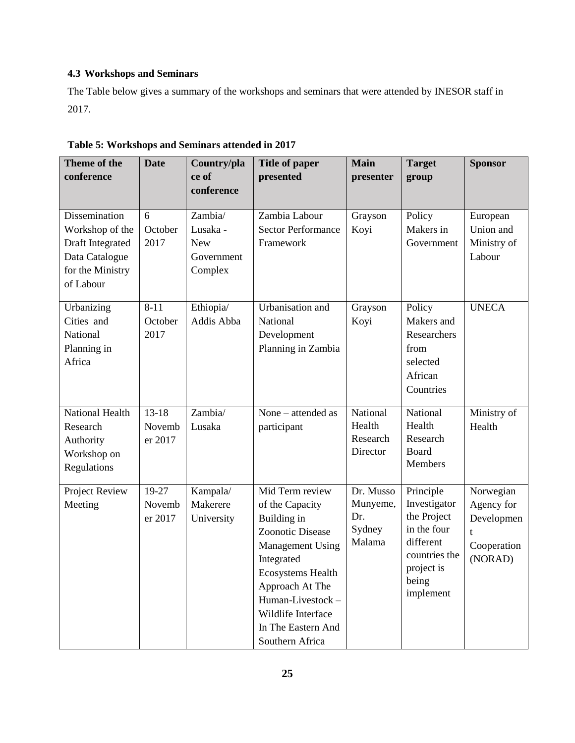# **4.3 Workshops and Seminars**

The Table below gives a summary of the workshops and seminars that were attended by INESOR staff in 2017.

| Theme of the<br>conference                                                                              | <b>Date</b>                    | Country/pla<br>ce of<br>conference                         | <b>Title of paper</b><br>presented                                                                                                                                                                                                               | <b>Main</b><br>presenter                         | <b>Target</b><br>group                                                                                                    | <b>Sponsor</b>                                                       |
|---------------------------------------------------------------------------------------------------------|--------------------------------|------------------------------------------------------------|--------------------------------------------------------------------------------------------------------------------------------------------------------------------------------------------------------------------------------------------------|--------------------------------------------------|---------------------------------------------------------------------------------------------------------------------------|----------------------------------------------------------------------|
| Dissemination<br>Workshop of the<br>Draft Integrated<br>Data Catalogue<br>for the Ministry<br>of Labour | 6<br>October<br>2017           | Zambia/<br>Lusaka -<br><b>New</b><br>Government<br>Complex | Zambia Labour<br><b>Sector Performance</b><br>Framework                                                                                                                                                                                          | Grayson<br>Koyi                                  | Policy<br>Makers in<br>Government                                                                                         | European<br>Union and<br>Ministry of<br>Labour                       |
| Urbanizing<br>Cities and<br>National<br>Planning in<br>Africa                                           | $8 - 11$<br>October<br>2017    | Ethiopia/<br>Addis Abba                                    | Urbanisation and<br>National<br>Development<br>Planning in Zambia                                                                                                                                                                                | Grayson<br>Koyi                                  | Policy<br>Makers and<br>Researchers<br>from<br>selected<br>African<br>Countries                                           | <b>UNECA</b>                                                         |
| <b>National Health</b><br>Research<br>Authority<br>Workshop on<br>Regulations                           | $13 - 18$<br>Novemb<br>er 2017 | Zambia/<br>Lusaka                                          | None - attended as<br>participant                                                                                                                                                                                                                | National<br>Health<br>Research<br>Director       | National<br>Health<br>Research<br>Board<br>Members                                                                        | Ministry of<br>Health                                                |
| Project Review<br>Meeting                                                                               | 19-27<br>Novemb<br>er 2017     | Kampala/<br>Makerere<br>University                         | Mid Term review<br>of the Capacity<br>Building in<br><b>Zoonotic Disease</b><br><b>Management Using</b><br>Integrated<br>Ecosystems Health<br>Approach At The<br>Human-Livestock-<br>Wildlife Interface<br>In The Eastern And<br>Southern Africa | Dr. Musso<br>Munyeme,<br>Dr.<br>Sydney<br>Malama | Principle<br>Investigator<br>the Project<br>in the four<br>different<br>countries the<br>project is<br>being<br>implement | Norwegian<br>Agency for<br>Developmen<br>t<br>Cooperation<br>(NORAD) |

**Table 5: Workshops and Seminars attended in 2017**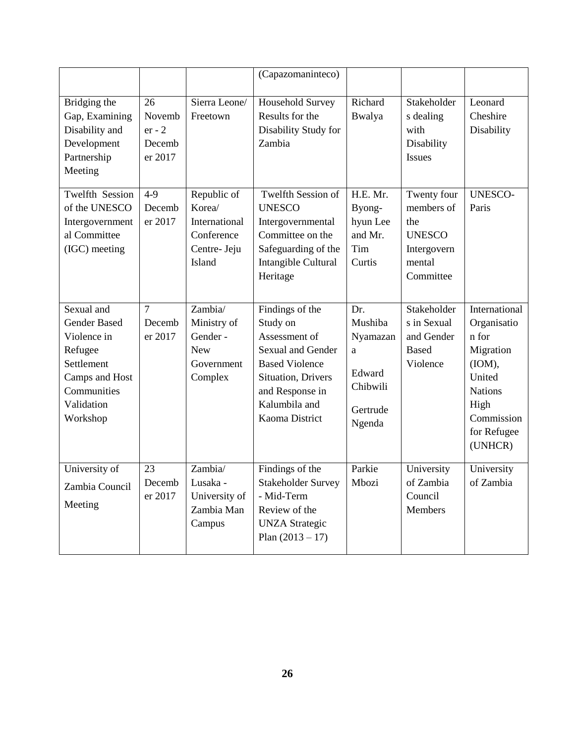|                                                                                                                                      |                                               |                                                                                | (Capazomaninteco)                                                                                                                                                      |                                                                             |                                                                                         |                                                                                                                                          |
|--------------------------------------------------------------------------------------------------------------------------------------|-----------------------------------------------|--------------------------------------------------------------------------------|------------------------------------------------------------------------------------------------------------------------------------------------------------------------|-----------------------------------------------------------------------------|-----------------------------------------------------------------------------------------|------------------------------------------------------------------------------------------------------------------------------------------|
| Bridging the<br>Gap, Examining<br>Disability and<br>Development<br>Partnership<br>Meeting                                            | 26<br>Novemb<br>$er - 2$<br>Decemb<br>er 2017 | Sierra Leone/<br>Freetown                                                      | Household Survey<br>Results for the<br>Disability Study for<br>Zambia                                                                                                  | Richard<br>Bwalya                                                           | Stakeholder<br>s dealing<br>with<br>Disability<br><b>Issues</b>                         | Leonard<br>Cheshire<br>Disability                                                                                                        |
| <b>Twelfth Session</b><br>of the UNESCO<br>Intergovernment<br>al Committee<br>(IGC) meeting                                          | $\overline{4-9}$<br>Decemb<br>er 2017         | Republic of<br>Korea/<br>International<br>Conference<br>Centre- Jeju<br>Island | <b>Twelfth Session of</b><br><b>UNESCO</b><br>Intergovernmental<br>Committee on the<br>Safeguarding of the<br>Intangible Cultural<br>Heritage                          | H.E. Mr.<br>Byong-<br>hyun Lee<br>and Mr.<br>Tim<br>Curtis                  | Twenty four<br>members of<br>the<br><b>UNESCO</b><br>Intergovern<br>mental<br>Committee | <b>UNESCO-</b><br>Paris                                                                                                                  |
| Sexual and<br><b>Gender Based</b><br>Violence in<br>Refugee<br>Settlement<br>Camps and Host<br>Communities<br>Validation<br>Workshop | $\tau$<br>Decemb<br>er 2017                   | Zambia/<br>Ministry of<br>Gender -<br><b>New</b><br>Government<br>Complex      | Findings of the<br>Study on<br>Assessment of<br>Sexual and Gender<br><b>Based Violence</b><br>Situation, Drivers<br>and Response in<br>Kalumbila and<br>Kaoma District | Dr.<br>Mushiba<br>Nyamazan<br>a<br>Edward<br>Chibwili<br>Gertrude<br>Ngenda | Stakeholder<br>s in Sexual<br>and Gender<br><b>Based</b><br>Violence                    | International<br>Organisatio<br>n for<br>Migration<br>(IOM),<br>United<br><b>Nations</b><br>High<br>Commission<br>for Refugee<br>(UNHCR) |
| University of<br>Zambia Council<br>Meeting                                                                                           | 23<br>Decemb<br>er 2017                       | Zambia/<br>Lusaka -<br>University of<br>Zambia Man<br>Campus                   | Findings of the<br><b>Stakeholder Survey</b><br>- Mid-Term<br>Review of the<br><b>UNZA Strategic</b><br>Plan $(2013 - 17)$                                             | Parkie<br>Mbozi                                                             | University<br>of Zambia<br>Council<br><b>Members</b>                                    | University<br>of Zambia                                                                                                                  |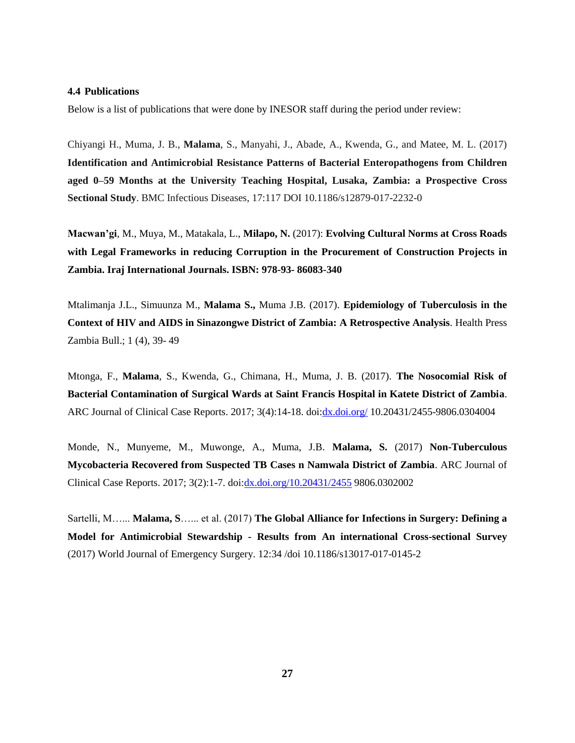#### **4.4 Publications**

Below is a list of publications that were done by INESOR staff during the period under review:

Chiyangi H., Muma, J. B., **Malama**, S., Manyahi, J., Abade, A., Kwenda, G., and Matee, M. L. (2017) **Identification and Antimicrobial Resistance Patterns of Bacterial Enteropathogens from Children aged 0–59 Months at the University Teaching Hospital, Lusaka, Zambia: a Prospective Cross Sectional Study**. BMC Infectious Diseases, 17:117 DOI 10.1186/s12879-017-2232-0

**Macwan'gi**, M., Muya, M., Matakala, L., **Milapo, N.** (2017): **Evolving Cultural Norms at Cross Roads with Legal Frameworks in reducing Corruption in the Procurement of Construction Projects in Zambia. Iraj International Journals. ISBN: 978-93- 86083-340**

Mtalimanja J.L., Simuunza M., **Malama S.,** Muma J.B. (2017). **Epidemiology of Tuberculosis in the Context of HIV and AIDS in Sinazongwe District of Zambia: A Retrospective Analysis**. Health Press Zambia Bull.; 1 (4), 39- 49

Mtonga, F., **Malama**, S., Kwenda, G., Chimana, H., Muma, J. B. (2017). **The Nosocomial Risk of Bacterial Contamination of Surgical Wards at Saint Francis Hospital in Katete District of Zambia**. ARC Journal of Clinical Case Reports. 2017; 3(4):14-18. doi[:dx.doi.org/](http://dx.doi.org/) 10.20431/2455-9806.0304004

Monde, N., Munyeme, M., Muwonge, A., Muma, J.B. **Malama, S.** (2017) **Non-Tuberculous Mycobacteria Recovered from Suspected TB Cases n Namwala District of Zambia**. ARC Journal of Clinical Case Reports. 2017; 3(2):1-7. doi[:dx.doi.org/10.20431/2455](http://dx.doi.org/10.20431/2455) 9806.0302002

Sartelli, M…... **Malama, S**…... et al. (2017) **The Global Alliance for Infections in Surgery: Defining a Model for Antimicrobial Stewardship - Results from An international Cross-sectional Survey** (2017) World Journal of Emergency Surgery. 12:34 /doi 10.1186/s13017-017-0145-2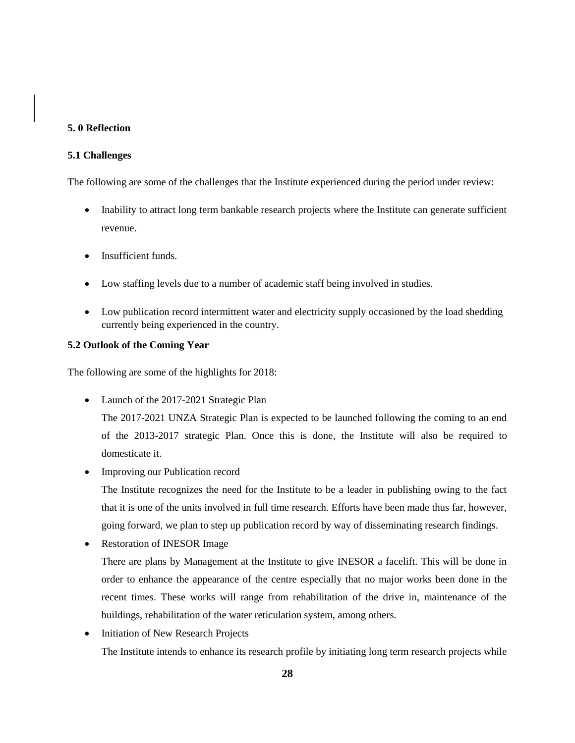### **5. 0 Reflection**

### **5.1 Challenges**

The following are some of the challenges that the Institute experienced during the period under review:

- Inability to attract long term bankable research projects where the Institute can generate sufficient revenue.
- Insufficient funds.
- Low staffing levels due to a number of academic staff being involved in studies.
- Low publication record intermittent water and electricity supply occasioned by the load shedding currently being experienced in the country.

### **5.2 Outlook of the Coming Year**

The following are some of the highlights for 2018:

• Launch of the 2017-2021 Strategic Plan

The 2017-2021 UNZA Strategic Plan is expected to be launched following the coming to an end of the 2013-2017 strategic Plan. Once this is done, the Institute will also be required to domesticate it.

• Improving our Publication record

The Institute recognizes the need for the Institute to be a leader in publishing owing to the fact that it is one of the units involved in full time research. Efforts have been made thus far, however, going forward, we plan to step up publication record by way of disseminating research findings.

• Restoration of INESOR Image

There are plans by Management at the Institute to give INESOR a facelift. This will be done in order to enhance the appearance of the centre especially that no major works been done in the recent times. These works will range from rehabilitation of the drive in, maintenance of the buildings, rehabilitation of the water reticulation system, among others.

• Initiation of New Research Projects The Institute intends to enhance its research profile by initiating long term research projects while